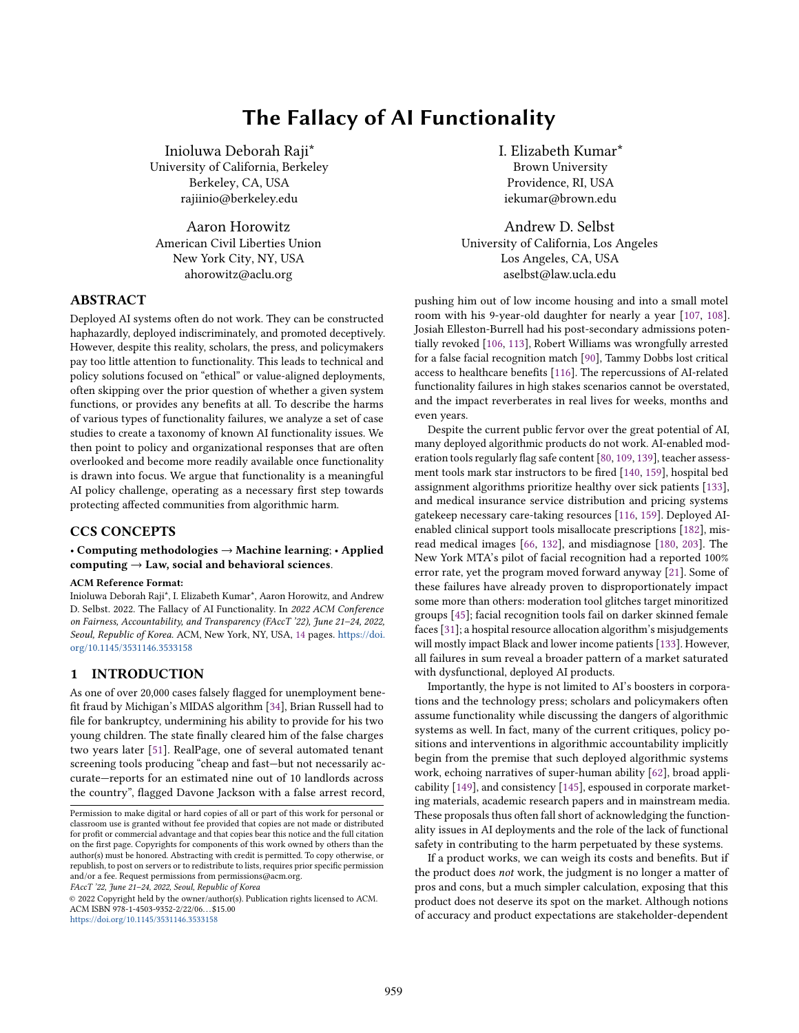# The Fallacy of AI Functionality

Inioluwa Deborah Raji\* University of California, Berkeley Berkeley, CA, USA rajiinio@berkeley.edu

Aaron Horowitz American Civil Liberties Union New York City, NY, USA ahorowitz@aclu.org

# ABSTRACT

Deployed AI systems often do not work. They can be constructed haphazardly, deployed indiscriminately, and promoted deceptively. However, despite this reality, scholars, the press, and policymakers pay too little attention to functionality. This leads to technical and policy solutions focused on "ethical" or value-aligned deployments, often skipping over the prior question of whether a given system functions, or provides any benefits at all. To describe the harms of various types of functionality failures, we analyze a set of case studies to create a taxonomy of known AI functionality issues. We then point to policy and organizational responses that are often overlooked and become more readily available once functionality is drawn into focus. We argue that functionality is a meaningful AI policy challenge, operating as a necessary first step towards protecting affected communities from algorithmic harm.

# CCS CONCEPTS

### • Computing methodologies → Machine learning; • Applied computing  $\rightarrow$  Law, social and behavioral sciences.

#### ACM Reference Format:

Inioluwa Deborah Raji\*, I. Elizabeth Kumar\*, Aaron Horowitz, and Andrew D. Selbst. 2022. The Fallacy of AI Functionality. In 2022 ACM Conference on Fairness, Accountability, and Transparency (FAccT '22), June 21–24, 2022, Seoul, Republic of Korea. ACM, New York, NY, USA, [14](#page-13-0) pages. [https://doi.](https://doi.org/10.1145/3531146.3533158) [org/10.1145/3531146.3533158](https://doi.org/10.1145/3531146.3533158)

# 1 INTRODUCTION

As one of over 20,000 cases falsely flagged for unemployment benefit fraud by Michigan's MIDAS algorithm [\[34\]](#page-10-0), Brian Russell had to file for bankruptcy, undermining his ability to provide for his two young children. The state finally cleared him of the false charges two years later [\[51\]](#page-10-1). RealPage, one of several automated tenant screening tools producing "cheap and fast—but not necessarily accurate—reports for an estimated nine out of 10 landlords across the country", flagged Davone Jackson with a false arrest record,

FAccT '22, June 21–24, 2022, Seoul, Republic of Korea

© 2022 Copyright held by the owner/author(s). Publication rights licensed to ACM. ACM ISBN 978-1-4503-9352-2/22/06. . . \$15.00 <https://doi.org/10.1145/3531146.3533158>

I. Elizabeth Kumar\* Brown University Providence, RI, USA iekumar@brown.edu

Andrew D. Selbst University of California, Los Angeles Los Angeles, CA, USA aselbst@law.ucla.edu

pushing him out of low income housing and into a small motel room with his 9-year-old daughter for nearly a year [\[107,](#page-11-0) [108\]](#page-11-1). Josiah Elleston-Burrell had his post-secondary admissions potentially revoked [\[106,](#page-11-2) [113\]](#page-11-3), Robert Williams was wrongfully arrested for a false facial recognition match [\[90\]](#page-10-2), Tammy Dobbs lost critical access to healthcare benefits [\[116\]](#page-11-4). The repercussions of AI-related functionality failures in high stakes scenarios cannot be overstated, and the impact reverberates in real lives for weeks, months and even years.

Despite the current public fervor over the great potential of AI, many deployed algorithmic products do not work. AI-enabled moderation tools regularly flag safe content [\[80,](#page-10-3) [109,](#page-11-5) [139\]](#page-11-6), teacher assessment tools mark star instructors to be fired [\[140,](#page-11-7) [159\]](#page-12-0), hospital bed assignment algorithms prioritize healthy over sick patients [\[133\]](#page-11-8), and medical insurance service distribution and pricing systems gatekeep necessary care-taking resources [\[116,](#page-11-4) [159\]](#page-12-0). Deployed AIenabled clinical support tools misallocate prescriptions [\[182\]](#page-12-1), misread medical images [\[66,](#page-10-4) [132\]](#page-11-9), and misdiagnose [\[180,](#page-12-2) [203\]](#page-13-1). The New York MTA's pilot of facial recognition had a reported 100% error rate, yet the program moved forward anyway [\[21\]](#page-9-0). Some of these failures have already proven to disproportionately impact some more than others: moderation tool glitches target minoritized groups [\[45\]](#page-10-5); facial recognition tools fail on darker skinned female faces [\[31\]](#page-9-1); a hospital resource allocation algorithm's misjudgements will mostly impact Black and lower income patients [\[133\]](#page-11-8). However, all failures in sum reveal a broader pattern of a market saturated with dysfunctional, deployed AI products.

Importantly, the hype is not limited to AI's boosters in corporations and the technology press; scholars and policymakers often assume functionality while discussing the dangers of algorithmic systems as well. In fact, many of the current critiques, policy positions and interventions in algorithmic accountability implicitly begin from the premise that such deployed algorithmic systems work, echoing narratives of super-human ability [\[62\]](#page-10-6), broad applicability [\[149\]](#page-12-3), and consistency [\[145\]](#page-11-10), espoused in corporate marketing materials, academic research papers and in mainstream media. These proposals thus often fall short of acknowledging the functionality issues in AI deployments and the role of the lack of functional safety in contributing to the harm perpetuated by these systems.

If a product works, we can weigh its costs and benefits. But if the product does not work, the judgment is no longer a matter of pros and cons, but a much simpler calculation, exposing that this product does not deserve its spot on the market. Although notions of accuracy and product expectations are stakeholder-dependent

Permission to make digital or hard copies of all or part of this work for personal or classroom use is granted without fee provided that copies are not made or distributed for profit or commercial advantage and that copies bear this notice and the full citation on the first page. Copyrights for components of this work owned by others than the author(s) must be honored. Abstracting with credit is permitted. To copy otherwise, or republish, to post on servers or to redistribute to lists, requires prior specific permission and/or a fee. Request permissions from permissions@acm.org.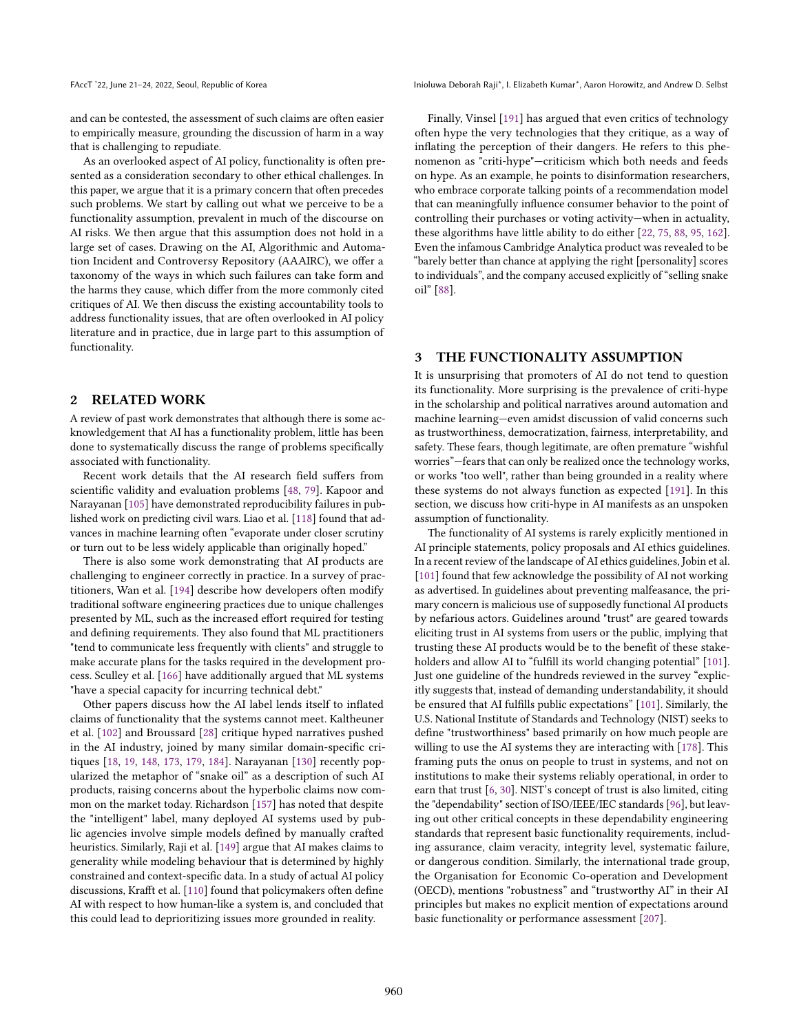and can be contested, the assessment of such claims are often easier to empirically measure, grounding the discussion of harm in a way that is challenging to repudiate.

As an overlooked aspect of AI policy, functionality is often presented as a consideration secondary to other ethical challenges. In this paper, we argue that it is a primary concern that often precedes such problems. We start by calling out what we perceive to be a functionality assumption, prevalent in much of the discourse on AI risks. We then argue that this assumption does not hold in a large set of cases. Drawing on the AI, Algorithmic and Automation Incident and Controversy Repository (AAAIRC), we offer a taxonomy of the ways in which such failures can take form and the harms they cause, which differ from the more commonly cited critiques of AI. We then discuss the existing accountability tools to address functionality issues, that are often overlooked in AI policy literature and in practice, due in large part to this assumption of functionality.

#### 2 RELATED WORK

A review of past work demonstrates that although there is some acknowledgement that AI has a functionality problem, little has been done to systematically discuss the range of problems specifically associated with functionality.

Recent work details that the AI research field suffers from scientific validity and evaluation problems [\[48,](#page-10-7) [79\]](#page-10-8). Kapoor and Narayanan [\[105\]](#page-11-11) have demonstrated reproducibility failures in published work on predicting civil wars. Liao et al. [\[118\]](#page-11-12) found that advances in machine learning often "evaporate under closer scrutiny or turn out to be less widely applicable than originally hoped."

There is also some work demonstrating that AI products are challenging to engineer correctly in practice. In a survey of practitioners, Wan et al. [\[194\]](#page-12-4) describe how developers often modify traditional software engineering practices due to unique challenges presented by ML, such as the increased effort required for testing and defining requirements. They also found that ML practitioners "tend to communicate less frequently with clients" and struggle to make accurate plans for the tasks required in the development process. Sculley et al. [\[166\]](#page-12-5) have additionally argued that ML systems "have a special capacity for incurring technical debt."

Other papers discuss how the AI label lends itself to inflated claims of functionality that the systems cannot meet. Kaltheuner et al. [\[102\]](#page-11-13) and Broussard [\[28\]](#page-9-2) critique hyped narratives pushed in the AI industry, joined by many similar domain-specific critiques [\[18,](#page-9-3) [19,](#page-9-4) [148,](#page-12-6) [173,](#page-12-7) [179,](#page-12-8) [184\]](#page-12-9). Narayanan [\[130\]](#page-11-14) recently popularized the metaphor of "snake oil" as a description of such AI products, raising concerns about the hyperbolic claims now common on the market today. Richardson [\[157\]](#page-12-10) has noted that despite the "intelligent" label, many deployed AI systems used by public agencies involve simple models defined by manually crafted heuristics. Similarly, Raji et al. [\[149\]](#page-12-3) argue that AI makes claims to generality while modeling behaviour that is determined by highly constrained and context-specific data. In a study of actual AI policy discussions, Krafft et al. [\[110\]](#page-11-15) found that policymakers often define AI with respect to how human-like a system is, and concluded that this could lead to deprioritizing issues more grounded in reality.

FAccT '22, June 21-24, 2022, Seoul, Republic of Korea Inioluma Deborah Raji\*, I. Elizabeth Kumar\*, Aaron Horowitz, and Andrew D. Selbst

Finally, Vinsel [\[191\]](#page-12-11) has argued that even critics of technology often hype the very technologies that they critique, as a way of inflating the perception of their dangers. He refers to this phenomenon as "criti-hype"—criticism which both needs and feeds on hype. As an example, he points to disinformation researchers, who embrace corporate talking points of a recommendation model that can meaningfully influence consumer behavior to the point of controlling their purchases or voting activity—when in actuality, these algorithms have little ability to do either [\[22,](#page-9-5) [75,](#page-10-9) [88,](#page-10-10) [95,](#page-11-16) [162\]](#page-12-12). Even the infamous Cambridge Analytica product was revealed to be "barely better than chance at applying the right [personality] scores to individuals", and the company accused explicitly of "selling snake oil" [\[88\]](#page-10-10).

# <span id="page-1-0"></span>THE FUNCTIONALITY ASSUMPTION

It is unsurprising that promoters of AI do not tend to question its functionality. More surprising is the prevalence of criti-hype in the scholarship and political narratives around automation and machine learning—even amidst discussion of valid concerns such as trustworthiness, democratization, fairness, interpretability, and safety. These fears, though legitimate, are often premature "wishful worries"—fears that can only be realized once the technology works, or works "too well", rather than being grounded in a reality where these systems do not always function as expected [\[191\]](#page-12-11). In this section, we discuss how criti-hype in AI manifests as an unspoken assumption of functionality.

The functionality of AI systems is rarely explicitly mentioned in AI principle statements, policy proposals and AI ethics guidelines. In a recent review of the landscape of AI ethics guidelines, Jobin et al. [\[101\]](#page-11-17) found that few acknowledge the possibility of AI not working as advertised. In guidelines about preventing malfeasance, the primary concern is malicious use of supposedly functional AI products by nefarious actors. Guidelines around "trust" are geared towards eliciting trust in AI systems from users or the public, implying that trusting these AI products would be to the benefit of these stakeholders and allow AI to "fulfill its world changing potential" [\[101\]](#page-11-17). Just one guideline of the hundreds reviewed in the survey "explicitly suggests that, instead of demanding understandability, it should be ensured that AI fulfills public expectations" [\[101\]](#page-11-17). Similarly, the U.S. National Institute of Standards and Technology (NIST) seeks to define "trustworthiness" based primarily on how much people are willing to use the AI systems they are interacting with [\[178\]](#page-12-13). This framing puts the onus on people to trust in systems, and not on institutions to make their systems reliably operational, in order to earn that trust [\[6,](#page-9-6) [30\]](#page-9-7). NIST's concept of trust is also limited, citing the "dependability" section of ISO/IEEE/IEC standards [\[96\]](#page-11-18), but leaving out other critical concepts in these dependability engineering standards that represent basic functionality requirements, including assurance, claim veracity, integrity level, systematic failure, or dangerous condition. Similarly, the international trade group, the Organisation for Economic Co-operation and Development (OECD), mentions "robustness" and "trustworthy AI" in their AI principles but makes no explicit mention of expectations around basic functionality or performance assessment [\[207\]](#page-13-2).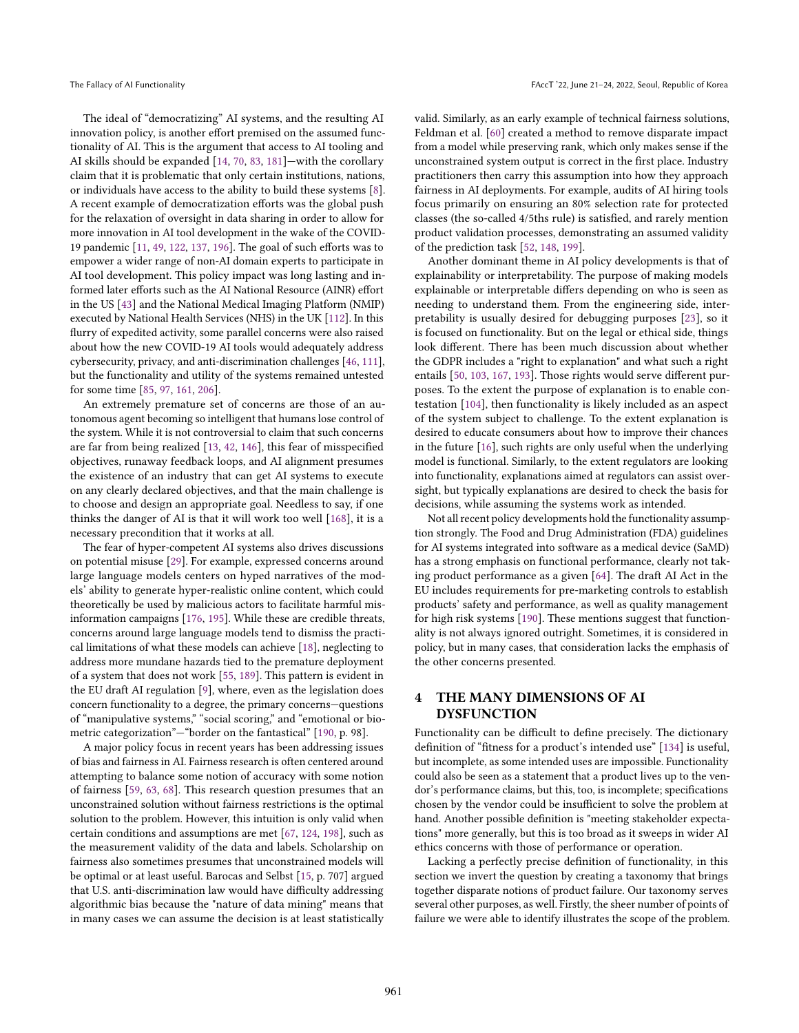The ideal of "democratizing" AI systems, and the resulting AI innovation policy, is another effort premised on the assumed functionality of AI. This is the argument that access to AI tooling and AI skills should be expanded [\[14,](#page-9-8) [70,](#page-10-11) [83,](#page-10-12) [181\]](#page-12-14)—with the corollary claim that it is problematic that only certain institutions, nations, or individuals have access to the ability to build these systems [\[8\]](#page-9-9). A recent example of democratization efforts was the global push for the relaxation of oversight in data sharing in order to allow for more innovation in AI tool development in the wake of the COVID-19 pandemic [\[11,](#page-9-10) [49,](#page-10-13) [122,](#page-11-19) [137,](#page-11-20) [196\]](#page-13-3). The goal of such efforts was to empower a wider range of non-AI domain experts to participate in AI tool development. This policy impact was long lasting and informed later efforts such as the AI National Resource (AINR) effort in the US [\[43\]](#page-10-14) and the National Medical Imaging Platform (NMIP) executed by National Health Services (NHS) in the UK [\[112\]](#page-11-21). In this flurry of expedited activity, some parallel concerns were also raised about how the new COVID-19 AI tools would adequately address cybersecurity, privacy, and anti-discrimination challenges [\[46,](#page-10-15) [111\]](#page-11-22), but the functionality and utility of the systems remained untested for some time [\[85,](#page-10-16) [97,](#page-11-23) [161,](#page-12-15) [206\]](#page-13-4).

An extremely premature set of concerns are those of an autonomous agent becoming so intelligent that humans lose control of the system. While it is not controversial to claim that such concerns are far from being realized [\[13,](#page-9-11) [42,](#page-10-17) [146\]](#page-12-16), this fear of misspecified objectives, runaway feedback loops, and AI alignment presumes the existence of an industry that can get AI systems to execute on any clearly declared objectives, and that the main challenge is to choose and design an appropriate goal. Needless to say, if one thinks the danger of AI is that it will work too well [\[168\]](#page-12-17), it is a necessary precondition that it works at all.

The fear of hyper-competent AI systems also drives discussions on potential misuse [\[29\]](#page-9-12). For example, expressed concerns around large language models centers on hyped narratives of the models' ability to generate hyper-realistic online content, which could theoretically be used by malicious actors to facilitate harmful misinformation campaigns [\[176,](#page-12-18) [195\]](#page-12-19). While these are credible threats, concerns around large language models tend to dismiss the practical limitations of what these models can achieve [\[18\]](#page-9-3), neglecting to address more mundane hazards tied to the premature deployment of a system that does not work [\[55,](#page-10-18) [189\]](#page-12-20). This pattern is evident in the EU draft AI regulation [\[9\]](#page-9-13), where, even as the legislation does concern functionality to a degree, the primary concerns—questions of "manipulative systems," "social scoring," and "emotional or biometric categorization"—"border on the fantastical" [\[190,](#page-12-21) p. 98].

A major policy focus in recent years has been addressing issues of bias and fairness in AI. Fairness research is often centered around attempting to balance some notion of accuracy with some notion of fairness [\[59,](#page-10-19) [63,](#page-10-20) [68\]](#page-10-21). This research question presumes that an unconstrained solution without fairness restrictions is the optimal solution to the problem. However, this intuition is only valid when certain conditions and assumptions are met [\[67,](#page-10-22) [124,](#page-11-24) [198\]](#page-13-5), such as the measurement validity of the data and labels. Scholarship on fairness also sometimes presumes that unconstrained models will be optimal or at least useful. Barocas and Selbst [\[15,](#page-9-14) p. 707] argued that U.S. anti-discrimination law would have difficulty addressing algorithmic bias because the "nature of data mining" means that in many cases we can assume the decision is at least statistically valid. Similarly, as an early example of technical fairness solutions, Feldman et al. [\[60\]](#page-10-23) created a method to remove disparate impact from a model while preserving rank, which only makes sense if the unconstrained system output is correct in the first place. Industry practitioners then carry this assumption into how they approach fairness in AI deployments. For example, audits of AI hiring tools focus primarily on ensuring an 80% selection rate for protected classes (the so-called 4/5ths rule) is satisfied, and rarely mention product validation processes, demonstrating an assumed validity of the prediction task [\[52,](#page-10-24) [148,](#page-12-6) [199\]](#page-13-6).

Another dominant theme in AI policy developments is that of explainability or interpretability. The purpose of making models explainable or interpretable differs depending on who is seen as needing to understand them. From the engineering side, interpretability is usually desired for debugging purposes [\[23\]](#page-9-15), so it is focused on functionality. But on the legal or ethical side, things look different. There has been much discussion about whether the GDPR includes a "right to explanation" and what such a right entails [\[50,](#page-10-25) [103,](#page-11-25) [167,](#page-12-22) [193\]](#page-12-23). Those rights would serve different purposes. To the extent the purpose of explanation is to enable contestation [\[104\]](#page-11-26), then functionality is likely included as an aspect of the system subject to challenge. To the extent explanation is desired to educate consumers about how to improve their chances in the future [\[16\]](#page-9-16), such rights are only useful when the underlying model is functional. Similarly, to the extent regulators are looking into functionality, explanations aimed at regulators can assist oversight, but typically explanations are desired to check the basis for decisions, while assuming the systems work as intended.

Not all recent policy developments hold the functionality assumption strongly. The Food and Drug Administration (FDA) guidelines for AI systems integrated into software as a medical device (SaMD) has a strong emphasis on functional performance, clearly not taking product performance as a given [\[64\]](#page-10-26). The draft AI Act in the EU includes requirements for pre-marketing controls to establish products' safety and performance, as well as quality management for high risk systems [\[190\]](#page-12-21). These mentions suggest that functionality is not always ignored outright. Sometimes, it is considered in policy, but in many cases, that consideration lacks the emphasis of the other concerns presented.

# 4 THE MANY DIMENSIONS OF AI DYSFUNCTION

Functionality can be difficult to define precisely. The dictionary definition of "fitness for a product's intended use" [\[134\]](#page-11-27) is useful, but incomplete, as some intended uses are impossible. Functionality could also be seen as a statement that a product lives up to the vendor's performance claims, but this, too, is incomplete; specifications chosen by the vendor could be insufficient to solve the problem at hand. Another possible definition is "meeting stakeholder expectations" more generally, but this is too broad as it sweeps in wider AI ethics concerns with those of performance or operation.

Lacking a perfectly precise definition of functionality, in this section we invert the question by creating a taxonomy that brings together disparate notions of product failure. Our taxonomy serves several other purposes, as well. Firstly, the sheer number of points of failure we were able to identify illustrates the scope of the problem.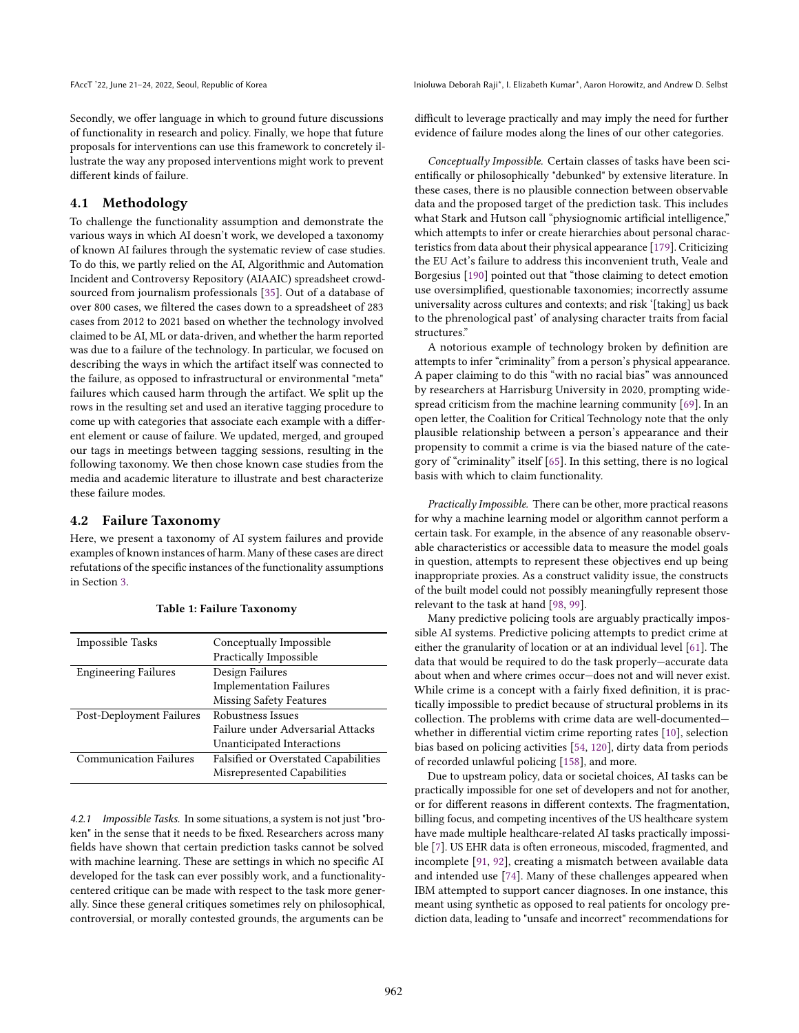Secondly, we offer language in which to ground future discussions of functionality in research and policy. Finally, we hope that future proposals for interventions can use this framework to concretely illustrate the way any proposed interventions might work to prevent different kinds of failure.

## 4.1 Methodology

To challenge the functionality assumption and demonstrate the various ways in which AI doesn't work, we developed a taxonomy of known AI failures through the systematic review of case studies. To do this, we partly relied on the AI, Algorithmic and Automation Incident and Controversy Repository (AIAAIC) spreadsheet crowdsourced from journalism professionals [\[35\]](#page-10-27). Out of a database of over 800 cases, we filtered the cases down to a spreadsheet of 283 cases from 2012 to 2021 based on whether the technology involved claimed to be AI, ML or data-driven, and whether the harm reported was due to a failure of the technology. In particular, we focused on describing the ways in which the artifact itself was connected to the failure, as opposed to infrastructural or environmental "meta" failures which caused harm through the artifact. We split up the rows in the resulting set and used an iterative tagging procedure to come up with categories that associate each example with a different element or cause of failure. We updated, merged, and grouped our tags in meetings between tagging sessions, resulting in the following taxonomy. We then chose known case studies from the media and academic literature to illustrate and best characterize these failure modes.

#### 4.2 Failure Taxonomy

Here, we present a taxonomy of AI system failures and provide examples of known instances of harm. Many of these cases are direct refutations of the specific instances of the functionality assumptions in Section [3.](#page-1-0)

| Impossible Tasks              | Conceptually Impossible                     |
|-------------------------------|---------------------------------------------|
|                               | Practically Impossible                      |
| <b>Engineering Failures</b>   | Design Failures                             |
|                               | <b>Implementation Failures</b>              |
|                               | <b>Missing Safety Features</b>              |
| Post-Deployment Failures      | Robustness Issues                           |
|                               | Failure under Adversarial Attacks           |
|                               | Unanticipated Interactions                  |
| <b>Communication Failures</b> | <b>Falsified or Overstated Capabilities</b> |
|                               | Misrepresented Capabilities                 |

4.2.1 Impossible Tasks. In some situations, a system is not just "broken" in the sense that it needs to be fixed. Researchers across many fields have shown that certain prediction tasks cannot be solved with machine learning. These are settings in which no specific AI developed for the task can ever possibly work, and a functionalitycentered critique can be made with respect to the task more generally. Since these general critiques sometimes rely on philosophical, controversial, or morally contested grounds, the arguments can be

difficult to leverage practically and may imply the need for further evidence of failure modes along the lines of our other categories.

Conceptually Impossible. Certain classes of tasks have been scientifically or philosophically "debunked" by extensive literature. In these cases, there is no plausible connection between observable data and the proposed target of the prediction task. This includes what Stark and Hutson call "physiognomic artificial intelligence," which attempts to infer or create hierarchies about personal characteristics from data about their physical appearance [\[179\]](#page-12-8). Criticizing the EU Act's failure to address this inconvenient truth, Veale and Borgesius [\[190\]](#page-12-21) pointed out that "those claiming to detect emotion use oversimplified, questionable taxonomies; incorrectly assume universality across cultures and contexts; and risk '[taking] us back to the phrenological past' of analysing character traits from facial structures."

A notorious example of technology broken by definition are attempts to infer "criminality" from a person's physical appearance. A paper claiming to do this "with no racial bias" was announced by researchers at Harrisburg University in 2020, prompting widespread criticism from the machine learning community [\[69\]](#page-10-28). In an open letter, the Coalition for Critical Technology note that the only plausible relationship between a person's appearance and their propensity to commit a crime is via the biased nature of the category of "criminality" itself [\[65\]](#page-10-29). In this setting, there is no logical basis with which to claim functionality.

Practically Impossible. There can be other, more practical reasons for why a machine learning model or algorithm cannot perform a certain task. For example, in the absence of any reasonable observable characteristics or accessible data to measure the model goals in question, attempts to represent these objectives end up being inappropriate proxies. As a construct validity issue, the constructs of the built model could not possibly meaningfully represent those relevant to the task at hand [\[98,](#page-11-28) [99\]](#page-11-29).

Many predictive policing tools are arguably practically impossible AI systems. Predictive policing attempts to predict crime at either the granularity of location or at an individual level [\[61\]](#page-10-30). The data that would be required to do the task properly—accurate data about when and where crimes occur—does not and will never exist. While crime is a concept with a fairly fixed definition, it is practically impossible to predict because of structural problems in its collection. The problems with crime data are well-documented whether in differential victim crime reporting rates [\[10\]](#page-9-17), selection bias based on policing activities [\[54,](#page-10-31) [120\]](#page-11-30), dirty data from periods of recorded unlawful policing [\[158\]](#page-12-24), and more.

Due to upstream policy, data or societal choices, AI tasks can be practically impossible for one set of developers and not for another, or for different reasons in different contexts. The fragmentation, billing focus, and competing incentives of the US healthcare system have made multiple healthcare-related AI tasks practically impossible [\[7\]](#page-9-18). US EHR data is often erroneous, miscoded, fragmented, and incomplete [\[91,](#page-11-31) [92\]](#page-11-32), creating a mismatch between available data and intended use [\[74\]](#page-10-32). Many of these challenges appeared when IBM attempted to support cancer diagnoses. In one instance, this meant using synthetic as opposed to real patients for oncology prediction data, leading to "unsafe and incorrect" recommendations for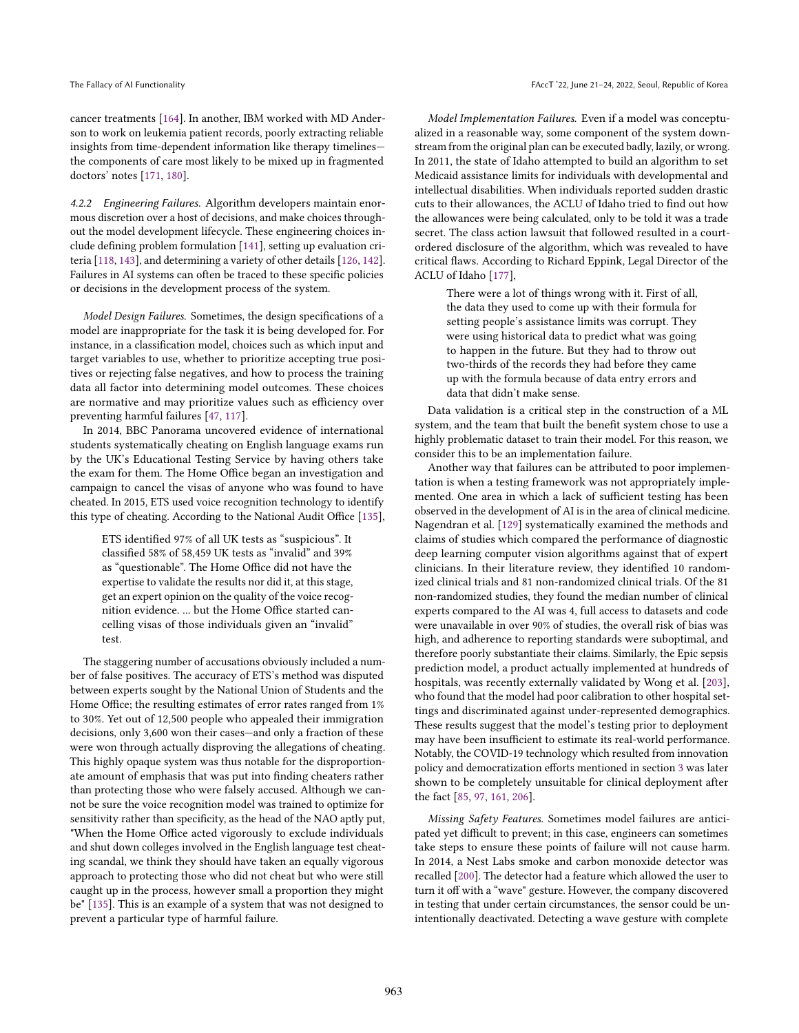cancer treatments [\[164\]](#page-12-25). In another, IBM worked with MD Anderson to work on leukemia patient records, poorly extracting reliable insights from time-dependent information like therapy timelines the components of care most likely to be mixed up in fragmented doctors' notes [\[171,](#page-12-26) [180\]](#page-12-2).

4.2.2 Engineering Failures. Algorithm developers maintain enormous discretion over a host of decisions, and make choices throughout the model development lifecycle. These engineering choices include defining problem formulation [\[141\]](#page-11-33), setting up evaluation criteria [\[118,](#page-11-12) [143\]](#page-11-34), and determining a variety of other details [\[126,](#page-11-35) [142\]](#page-11-36). Failures in AI systems can often be traced to these specific policies or decisions in the development process of the system.

Model Design Failures. Sometimes, the design specifications of a model are inappropriate for the task it is being developed for. For instance, in a classification model, choices such as which input and target variables to use, whether to prioritize accepting true positives or rejecting false negatives, and how to process the training data all factor into determining model outcomes. These choices are normative and may prioritize values such as efficiency over preventing harmful failures [\[47,](#page-10-33) [117\]](#page-11-37).

In 2014, BBC Panorama uncovered evidence of international students systematically cheating on English language exams run by the UK's Educational Testing Service by having others take the exam for them. The Home Office began an investigation and campaign to cancel the visas of anyone who was found to have cheated. In 2015, ETS used voice recognition technology to identify this type of cheating. According to the National Audit Office [\[135\]](#page-11-38),

ETS identified 97% of all UK tests as "suspicious". It classified 58% of 58,459 UK tests as "invalid" and 39% as "questionable". The Home Office did not have the expertise to validate the results nor did it, at this stage, get an expert opinion on the quality of the voice recognition evidence. ... but the Home Office started cancelling visas of those individuals given an "invalid" test.

The staggering number of accusations obviously included a number of false positives. The accuracy of ETS's method was disputed between experts sought by the National Union of Students and the Home Office; the resulting estimates of error rates ranged from 1% to 30%. Yet out of 12,500 people who appealed their immigration decisions, only 3,600 won their cases—and only a fraction of these were won through actually disproving the allegations of cheating. This highly opaque system was thus notable for the disproportionate amount of emphasis that was put into finding cheaters rather than protecting those who were falsely accused. Although we cannot be sure the voice recognition model was trained to optimize for sensitivity rather than specificity, as the head of the NAO aptly put, "When the Home Office acted vigorously to exclude individuals and shut down colleges involved in the English language test cheating scandal, we think they should have taken an equally vigorous approach to protecting those who did not cheat but who were still caught up in the process, however small a proportion they might be" [\[135\]](#page-11-38). This is an example of a system that was not designed to prevent a particular type of harmful failure.

Model Implementation Failures. Even if a model was conceptualized in a reasonable way, some component of the system downstream from the original plan can be executed badly, lazily, or wrong. In 2011, the state of Idaho attempted to build an algorithm to set Medicaid assistance limits for individuals with developmental and intellectual disabilities. When individuals reported sudden drastic cuts to their allowances, the ACLU of Idaho tried to find out how the allowances were being calculated, only to be told it was a trade secret. The class action lawsuit that followed resulted in a courtordered disclosure of the algorithm, which was revealed to have critical flaws. According to Richard Eppink, Legal Director of the ACLU of Idaho [\[177\]](#page-12-27),

> There were a lot of things wrong with it. First of all, the data they used to come up with their formula for setting people's assistance limits was corrupt. They were using historical data to predict what was going to happen in the future. But they had to throw out two-thirds of the records they had before they came up with the formula because of data entry errors and data that didn't make sense.

Data validation is a critical step in the construction of a ML system, and the team that built the benefit system chose to use a highly problematic dataset to train their model. For this reason, we consider this to be an implementation failure.

Another way that failures can be attributed to poor implementation is when a testing framework was not appropriately implemented. One area in which a lack of sufficient testing has been observed in the development of AI is in the area of clinical medicine. Nagendran et al. [\[129\]](#page-11-39) systematically examined the methods and claims of studies which compared the performance of diagnostic deep learning computer vision algorithms against that of expert clinicians. In their literature review, they identified 10 randomized clinical trials and 81 non-randomized clinical trials. Of the 81 non-randomized studies, they found the median number of clinical experts compared to the AI was 4, full access to datasets and code were unavailable in over 90% of studies, the overall risk of bias was high, and adherence to reporting standards were suboptimal, and therefore poorly substantiate their claims. Similarly, the Epic sepsis prediction model, a product actually implemented at hundreds of hospitals, was recently externally validated by Wong et al. [\[203\]](#page-13-1), who found that the model had poor calibration to other hospital settings and discriminated against under-represented demographics. These results suggest that the model's testing prior to deployment may have been insufficient to estimate its real-world performance. Notably, the COVID-19 technology which resulted from innovation policy and democratization efforts mentioned in section [3](#page-1-0) was later shown to be completely unsuitable for clinical deployment after the fact [\[85,](#page-10-16) [97,](#page-11-23) [161,](#page-12-15) [206\]](#page-13-4).

Missing Safety Features. Sometimes model failures are anticipated yet difficult to prevent; in this case, engineers can sometimes take steps to ensure these points of failure will not cause harm. In 2014, a Nest Labs smoke and carbon monoxide detector was recalled [\[200\]](#page-13-7). The detector had a feature which allowed the user to turn it off with a "wave" gesture. However, the company discovered in testing that under certain circumstances, the sensor could be unintentionally deactivated. Detecting a wave gesture with complete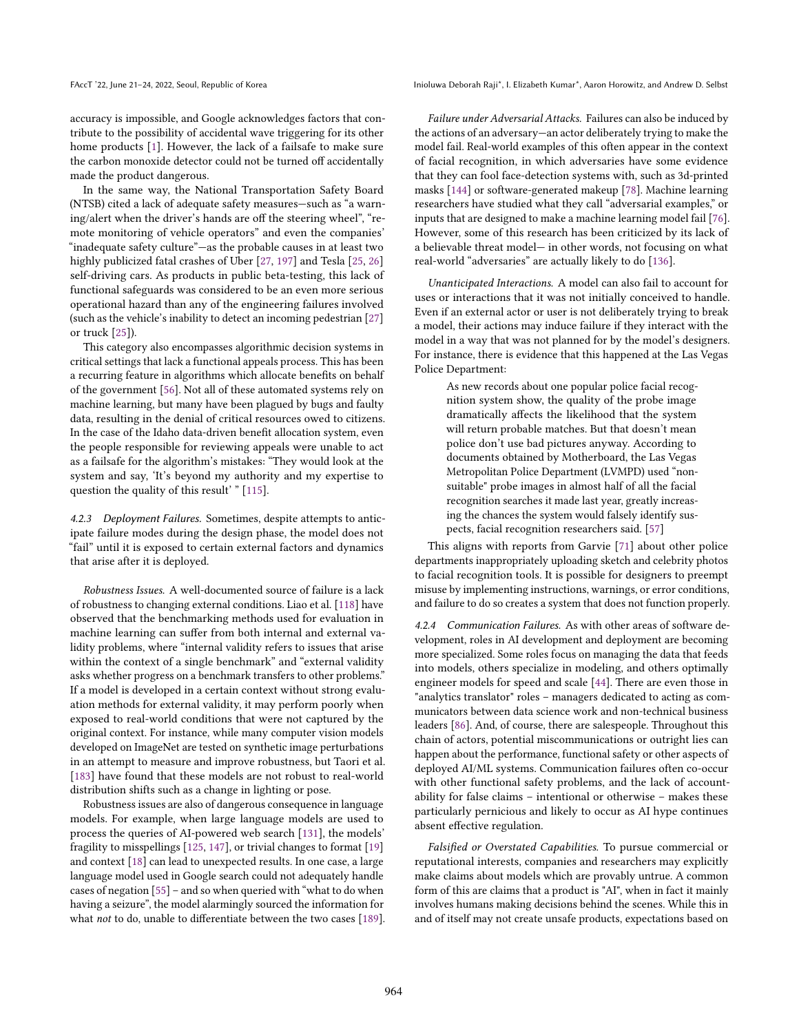accuracy is impossible, and Google acknowledges factors that contribute to the possibility of accidental wave triggering for its other home products [\[1\]](#page-9-19). However, the lack of a failsafe to make sure the carbon monoxide detector could not be turned off accidentally made the product dangerous.

In the same way, the National Transportation Safety Board (NTSB) cited a lack of adequate safety measures—such as "a warning/alert when the driver's hands are off the steering wheel", "remote monitoring of vehicle operators" and even the companies' "inadequate safety culture"—as the probable causes in at least two highly publicized fatal crashes of Uber [\[27,](#page-9-20) [197\]](#page-13-8) and Tesla [\[25,](#page-9-21) [26\]](#page-9-22) self-driving cars. As products in public beta-testing, this lack of functional safeguards was considered to be an even more serious operational hazard than any of the engineering failures involved (such as the vehicle's inability to detect an incoming pedestrian [\[27\]](#page-9-20) or truck [\[25\]](#page-9-21)).

This category also encompasses algorithmic decision systems in critical settings that lack a functional appeals process. This has been a recurring feature in algorithms which allocate benefits on behalf of the government [\[56\]](#page-10-34). Not all of these automated systems rely on machine learning, but many have been plagued by bugs and faulty data, resulting in the denial of critical resources owed to citizens. In the case of the Idaho data-driven benefit allocation system, even the people responsible for reviewing appeals were unable to act as a failsafe for the algorithm's mistakes: "They would look at the system and say, 'It's beyond my authority and my expertise to question the quality of this result' " [\[115\]](#page-11-40).

4.2.3 Deployment Failures. Sometimes, despite attempts to anticipate failure modes during the design phase, the model does not "fail" until it is exposed to certain external factors and dynamics that arise after it is deployed.

Robustness Issues. A well-documented source of failure is a lack of robustness to changing external conditions. Liao et al. [\[118\]](#page-11-12) have observed that the benchmarking methods used for evaluation in machine learning can suffer from both internal and external validity problems, where "internal validity refers to issues that arise within the context of a single benchmark" and "external validity asks whether progress on a benchmark transfers to other problems." If a model is developed in a certain context without strong evaluation methods for external validity, it may perform poorly when exposed to real-world conditions that were not captured by the original context. For instance, while many computer vision models developed on ImageNet are tested on synthetic image perturbations in an attempt to measure and improve robustness, but Taori et al. [\[183\]](#page-12-28) have found that these models are not robust to real-world distribution shifts such as a change in lighting or pose.

Robustness issues are also of dangerous consequence in language models. For example, when large language models are used to process the queries of AI-powered web search [\[131\]](#page-11-41), the models' fragility to misspellings [\[125,](#page-11-42) [147\]](#page-12-29), or trivial changes to format [\[19\]](#page-9-4) and context [\[18\]](#page-9-3) can lead to unexpected results. In one case, a large language model used in Google search could not adequately handle cases of negation [\[55\]](#page-10-18) – and so when queried with "what to do when having a seizure", the model alarmingly sourced the information for what not to do, unable to differentiate between the two cases [\[189\]](#page-12-20).

FAccT '22, June 21-24, 2022, Seoul, Republic of Korea Inioluma Deborah Raji\*, I. Elizabeth Kumar\*, Aaron Horowitz, and Andrew D. Selbst

Failure under Adversarial Attacks. Failures can also be induced by the actions of an adversary—an actor deliberately trying to make the model fail. Real-world examples of this often appear in the context of facial recognition, in which adversaries have some evidence that they can fool face-detection systems with, such as 3d-printed masks [\[144\]](#page-11-43) or software-generated makeup [\[78\]](#page-10-35). Machine learning researchers have studied what they call "adversarial examples," or inputs that are designed to make a machine learning model fail [\[76\]](#page-10-36). However, some of this research has been criticized by its lack of a believable threat model— in other words, not focusing on what real-world "adversaries" are actually likely to do [\[136\]](#page-11-44).

Unanticipated Interactions. A model can also fail to account for uses or interactions that it was not initially conceived to handle. Even if an external actor or user is not deliberately trying to break a model, their actions may induce failure if they interact with the model in a way that was not planned for by the model's designers. For instance, there is evidence that this happened at the Las Vegas Police Department:

> As new records about one popular police facial recognition system show, the quality of the probe image dramatically affects the likelihood that the system will return probable matches. But that doesn't mean police don't use bad pictures anyway. According to documents obtained by Motherboard, the Las Vegas Metropolitan Police Department (LVMPD) used "nonsuitable" probe images in almost half of all the facial recognition searches it made last year, greatly increasing the chances the system would falsely identify suspects, facial recognition researchers said. [\[57\]](#page-10-37)

This aligns with reports from Garvie [\[71\]](#page-10-38) about other police departments inappropriately uploading sketch and celebrity photos to facial recognition tools. It is possible for designers to preempt misuse by implementing instructions, warnings, or error conditions, and failure to do so creates a system that does not function properly.

4.2.4 Communication Failures. As with other areas of software development, roles in AI development and deployment are becoming more specialized. Some roles focus on managing the data that feeds into models, others specialize in modeling, and others optimally engineer models for speed and scale [\[44\]](#page-10-39). There are even those in "analytics translator" roles – managers dedicated to acting as communicators between data science work and non-technical business leaders [\[86\]](#page-10-40). And, of course, there are salespeople. Throughout this chain of actors, potential miscommunications or outright lies can happen about the performance, functional safety or other aspects of deployed AI/ML systems. Communication failures often co-occur with other functional safety problems, and the lack of accountability for false claims – intentional or otherwise – makes these particularly pernicious and likely to occur as AI hype continues absent effective regulation.

Falsified or Overstated Capabilities. To pursue commercial or reputational interests, companies and researchers may explicitly make claims about models which are provably untrue. A common form of this are claims that a product is "AI", when in fact it mainly involves humans making decisions behind the scenes. While this in and of itself may not create unsafe products, expectations based on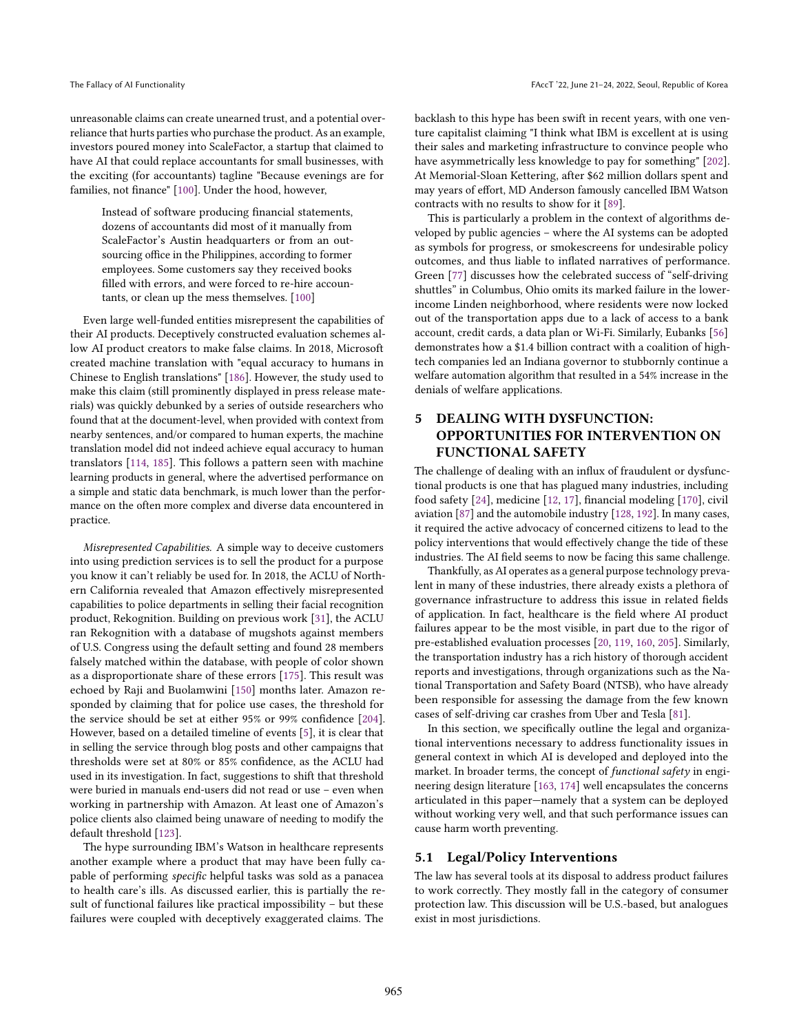unreasonable claims can create unearned trust, and a potential overreliance that hurts parties who purchase the product. As an example, investors poured money into ScaleFactor, a startup that claimed to have AI that could replace accountants for small businesses, with the exciting (for accountants) tagline "Because evenings are for families, not finance" [\[100\]](#page-11-45). Under the hood, however,

Instead of software producing financial statements, dozens of accountants did most of it manually from ScaleFactor's Austin headquarters or from an outsourcing office in the Philippines, according to former employees. Some customers say they received books filled with errors, and were forced to re-hire accountants, or clean up the mess themselves. [\[100\]](#page-11-45)

Even large well-funded entities misrepresent the capabilities of their AI products. Deceptively constructed evaluation schemes allow AI product creators to make false claims. In 2018, Microsoft created machine translation with "equal accuracy to humans in Chinese to English translations" [\[186\]](#page-12-30). However, the study used to make this claim (still prominently displayed in press release materials) was quickly debunked by a series of outside researchers who found that at the document-level, when provided with context from nearby sentences, and/or compared to human experts, the machine translation model did not indeed achieve equal accuracy to human translators [\[114,](#page-11-46) [185\]](#page-12-31). This follows a pattern seen with machine learning products in general, where the advertised performance on a simple and static data benchmark, is much lower than the performance on the often more complex and diverse data encountered in practice.

Misrepresented Capabilities. A simple way to deceive customers into using prediction services is to sell the product for a purpose you know it can't reliably be used for. In 2018, the ACLU of Northern California revealed that Amazon effectively misrepresented capabilities to police departments in selling their facial recognition product, Rekognition. Building on previous work [\[31\]](#page-9-1), the ACLU ran Rekognition with a database of mugshots against members of U.S. Congress using the default setting and found 28 members falsely matched within the database, with people of color shown as a disproportionate share of these errors [\[175\]](#page-12-32). This result was echoed by Raji and Buolamwini [\[150\]](#page-12-33) months later. Amazon responded by claiming that for police use cases, the threshold for the service should be set at either 95% or 99% confidence [\[204\]](#page-13-9). However, based on a detailed timeline of events [\[5\]](#page-9-23), it is clear that in selling the service through blog posts and other campaigns that thresholds were set at 80% or 85% confidence, as the ACLU had used in its investigation. In fact, suggestions to shift that threshold were buried in manuals end-users did not read or use – even when working in partnership with Amazon. At least one of Amazon's police clients also claimed being unaware of needing to modify the default threshold [\[123\]](#page-11-47).

The hype surrounding IBM's Watson in healthcare represents another example where a product that may have been fully capable of performing specific helpful tasks was sold as a panacea to health care's ills. As discussed earlier, this is partially the result of functional failures like practical impossibility – but these failures were coupled with deceptively exaggerated claims. The

backlash to this hype has been swift in recent years, with one venture capitalist claiming "I think what IBM is excellent at is using their sales and marketing infrastructure to convince people who have asymmetrically less knowledge to pay for something" [\[202\]](#page-13-10). At Memorial-Sloan Kettering, after \$62 million dollars spent and may years of effort, MD Anderson famously cancelled IBM Watson contracts with no results to show for it [\[89\]](#page-10-41).

This is particularly a problem in the context of algorithms developed by public agencies – where the AI systems can be adopted as symbols for progress, or smokescreens for undesirable policy outcomes, and thus liable to inflated narratives of performance. Green [\[77\]](#page-10-42) discusses how the celebrated success of "self-driving shuttles" in Columbus, Ohio omits its marked failure in the lowerincome Linden neighborhood, where residents were now locked out of the transportation apps due to a lack of access to a bank account, credit cards, a data plan or Wi-Fi. Similarly, Eubanks [\[56\]](#page-10-34) demonstrates how a \$1.4 billion contract with a coalition of hightech companies led an Indiana governor to stubbornly continue a welfare automation algorithm that resulted in a 54% increase in the denials of welfare applications.

# 5 DEALING WITH DYSFUNCTION: OPPORTUNITIES FOR INTERVENTION ON FUNCTIONAL SAFETY

The challenge of dealing with an influx of fraudulent or dysfunctional products is one that has plagued many industries, including food safety [\[24\]](#page-9-24), medicine [\[12,](#page-9-25) [17\]](#page-9-26), financial modeling [\[170\]](#page-12-34), civil aviation [\[87\]](#page-10-43) and the automobile industry [\[128,](#page-11-48) [192\]](#page-12-35). In many cases, it required the active advocacy of concerned citizens to lead to the policy interventions that would effectively change the tide of these industries. The AI field seems to now be facing this same challenge.

Thankfully, as AI operates as a general purpose technology prevalent in many of these industries, there already exists a plethora of governance infrastructure to address this issue in related fields of application. In fact, healthcare is the field where AI product failures appear to be the most visible, in part due to the rigor of pre-established evaluation processes [\[20,](#page-9-27) [119,](#page-11-49) [160,](#page-12-36) [205\]](#page-13-11). Similarly, the transportation industry has a rich history of thorough accident reports and investigations, through organizations such as the National Transportation and Safety Board (NTSB), who have already been responsible for assessing the damage from the few known cases of self-driving car crashes from Uber and Tesla [\[81\]](#page-10-44).

In this section, we specifically outline the legal and organizational interventions necessary to address functionality issues in general context in which AI is developed and deployed into the market. In broader terms, the concept of functional safety in engineering design literature [\[163,](#page-12-37) [174\]](#page-12-38) well encapsulates the concerns articulated in this paper—namely that a system can be deployed without working very well, and that such performance issues can cause harm worth preventing.

#### 5.1 Legal/Policy Interventions

The law has several tools at its disposal to address product failures to work correctly. They mostly fall in the category of consumer protection law. This discussion will be U.S.-based, but analogues exist in most jurisdictions.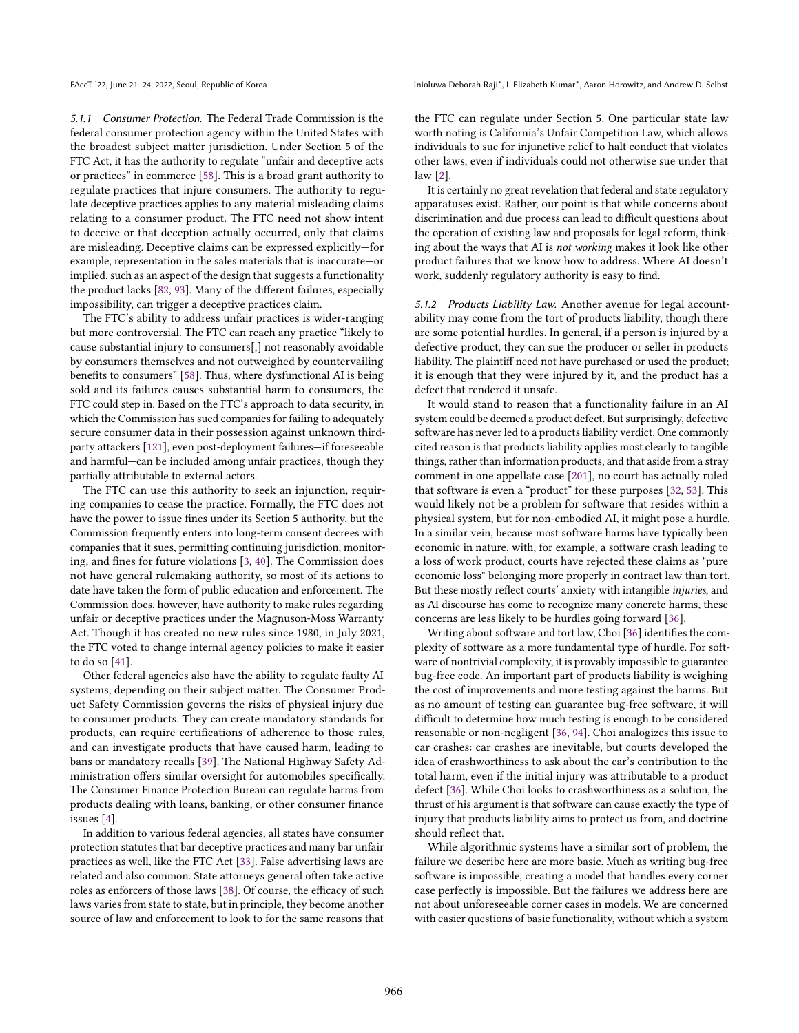5.1.1 Consumer Protection. The Federal Trade Commission is the federal consumer protection agency within the United States with the broadest subject matter jurisdiction. Under Section 5 of the FTC Act, it has the authority to regulate "unfair and deceptive acts or practices" in commerce [\[58\]](#page-10-45). This is a broad grant authority to regulate practices that injure consumers. The authority to regulate deceptive practices applies to any material misleading claims relating to a consumer product. The FTC need not show intent to deceive or that deception actually occurred, only that claims are misleading. Deceptive claims can be expressed explicitly—for example, representation in the sales materials that is inaccurate—or implied, such as an aspect of the design that suggests a functionality the product lacks [\[82,](#page-10-46) [93\]](#page-11-50). Many of the different failures, especially impossibility, can trigger a deceptive practices claim.

The FTC's ability to address unfair practices is wider-ranging but more controversial. The FTC can reach any practice "likely to cause substantial injury to consumers[,] not reasonably avoidable by consumers themselves and not outweighed by countervailing benefits to consumers" [\[58\]](#page-10-45). Thus, where dysfunctional AI is being sold and its failures causes substantial harm to consumers, the FTC could step in. Based on the FTC's approach to data security, in which the Commission has sued companies for failing to adequately secure consumer data in their possession against unknown thirdparty attackers [\[121\]](#page-11-51), even post-deployment failures—if foreseeable and harmful—can be included among unfair practices, though they partially attributable to external actors.

The FTC can use this authority to seek an injunction, requiring companies to cease the practice. Formally, the FTC does not have the power to issue fines under its Section 5 authority, but the Commission frequently enters into long-term consent decrees with companies that it sues, permitting continuing jurisdiction, monitoring, and fines for future violations [\[3,](#page-9-28) [40\]](#page-10-47). The Commission does not have general rulemaking authority, so most of its actions to date have taken the form of public education and enforcement. The Commission does, however, have authority to make rules regarding unfair or deceptive practices under the Magnuson-Moss Warranty Act. Though it has created no new rules since 1980, in July 2021, the FTC voted to change internal agency policies to make it easier to do so [\[41\]](#page-10-48).

Other federal agencies also have the ability to regulate faulty AI systems, depending on their subject matter. The Consumer Product Safety Commission governs the risks of physical injury due to consumer products. They can create mandatory standards for products, can require certifications of adherence to those rules, and can investigate products that have caused harm, leading to bans or mandatory recalls [\[39\]](#page-10-49). The National Highway Safety Administration offers similar oversight for automobiles specifically. The Consumer Finance Protection Bureau can regulate harms from products dealing with loans, banking, or other consumer finance issues [\[4\]](#page-9-29).

In addition to various federal agencies, all states have consumer protection statutes that bar deceptive practices and many bar unfair practices as well, like the FTC Act [\[33\]](#page-9-30). False advertising laws are related and also common. State attorneys general often take active roles as enforcers of those laws [\[38\]](#page-10-50). Of course, the efficacy of such laws varies from state to state, but in principle, they become another source of law and enforcement to look to for the same reasons that

FAccT '22, June 21-24, 2022, Seoul, Republic of Korea Inioluma Deborah Raji\*, I. Elizabeth Kumar\*, Aaron Horowitz, and Andrew D. Selbst

the FTC can regulate under Section 5. One particular state law worth noting is California's Unfair Competition Law, which allows individuals to sue for injunctive relief to halt conduct that violates other laws, even if individuals could not otherwise sue under that law [\[2\]](#page-9-31).

It is certainly no great revelation that federal and state regulatory apparatuses exist. Rather, our point is that while concerns about discrimination and due process can lead to difficult questions about the operation of existing law and proposals for legal reform, thinking about the ways that AI is not working makes it look like other product failures that we know how to address. Where AI doesn't work, suddenly regulatory authority is easy to find.

5.1.2 Products Liability Law. Another avenue for legal accountability may come from the tort of products liability, though there are some potential hurdles. In general, if a person is injured by a defective product, they can sue the producer or seller in products liability. The plaintiff need not have purchased or used the product; it is enough that they were injured by it, and the product has a defect that rendered it unsafe.

It would stand to reason that a functionality failure in an AI system could be deemed a product defect. But surprisingly, defective software has never led to a products liability verdict. One commonly cited reason is that products liability applies most clearly to tangible things, rather than information products, and that aside from a stray comment in one appellate case [\[201\]](#page-13-12), no court has actually ruled that software is even a "product" for these purposes [\[32,](#page-9-32) [53\]](#page-10-51). This would likely not be a problem for software that resides within a physical system, but for non-embodied AI, it might pose a hurdle. In a similar vein, because most software harms have typically been economic in nature, with, for example, a software crash leading to a loss of work product, courts have rejected these claims as "pure economic loss" belonging more properly in contract law than tort. But these mostly reflect courts' anxiety with intangible injuries, and as AI discourse has come to recognize many concrete harms, these concerns are less likely to be hurdles going forward [\[36\]](#page-10-52).

Writing about software and tort law, Choi [\[36\]](#page-10-52) identifies the complexity of software as a more fundamental type of hurdle. For software of nontrivial complexity, it is provably impossible to guarantee bug-free code. An important part of products liability is weighing the cost of improvements and more testing against the harms. But as no amount of testing can guarantee bug-free software, it will difficult to determine how much testing is enough to be considered reasonable or non-negligent [\[36,](#page-10-52) [94\]](#page-11-52). Choi analogizes this issue to car crashes: car crashes are inevitable, but courts developed the idea of crashworthiness to ask about the car's contribution to the total harm, even if the initial injury was attributable to a product defect [\[36\]](#page-10-52). While Choi looks to crashworthiness as a solution, the thrust of his argument is that software can cause exactly the type of injury that products liability aims to protect us from, and doctrine should reflect that.

While algorithmic systems have a similar sort of problem, the failure we describe here are more basic. Much as writing bug-free software is impossible, creating a model that handles every corner case perfectly is impossible. But the failures we address here are not about unforeseeable corner cases in models. We are concerned with easier questions of basic functionality, without which a system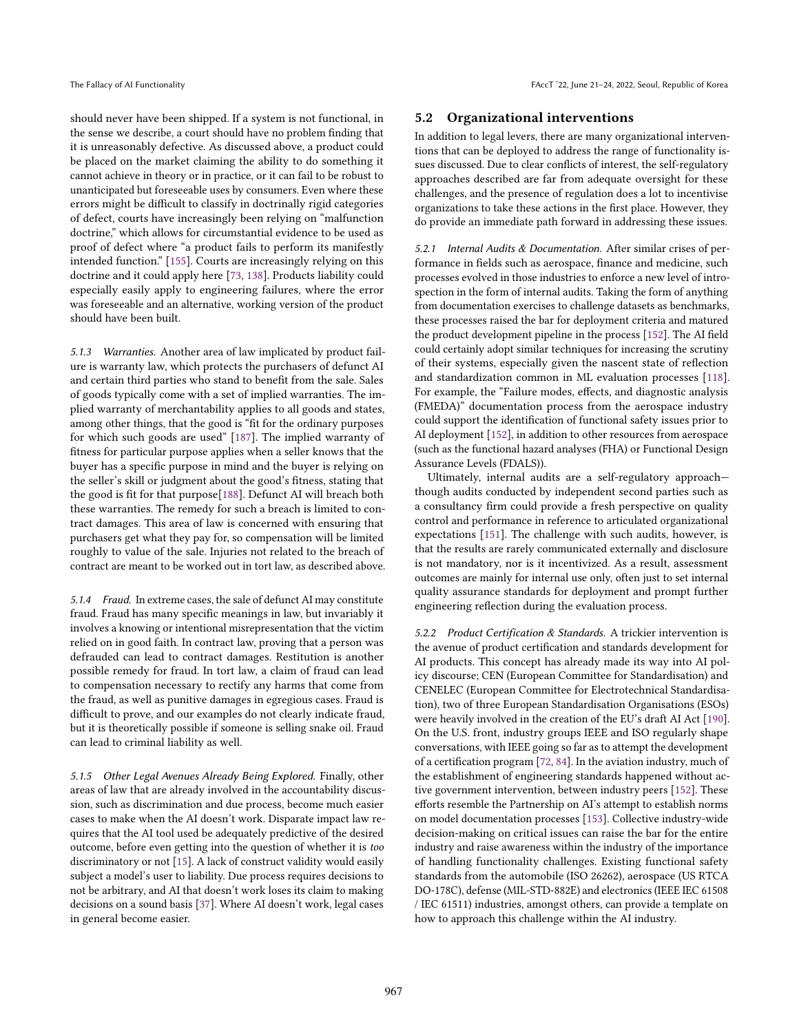should never have been shipped. If a system is not functional, in the sense we describe, a court should have no problem finding that it is unreasonably defective. As discussed above, a product could be placed on the market claiming the ability to do something it cannot achieve in theory or in practice, or it can fail to be robust to unanticipated but foreseeable uses by consumers. Even where these errors might be difficult to classify in doctrinally rigid categories of defect, courts have increasingly been relying on "malfunction doctrine," which allows for circumstantial evidence to be used as proof of defect where "a product fails to perform its manifestly intended function." [\[155\]](#page-12-39). Courts are increasingly relying on this doctrine and it could apply here [\[73,](#page-10-53) [138\]](#page-11-53). Products liability could especially easily apply to engineering failures, where the error was foreseeable and an alternative, working version of the product should have been built.

5.1.3 Warranties. Another area of law implicated by product failure is warranty law, which protects the purchasers of defunct AI and certain third parties who stand to benefit from the sale. Sales of goods typically come with a set of implied warranties. The implied warranty of merchantability applies to all goods and states, among other things, that the good is "fit for the ordinary purposes for which such goods are used" [\[187\]](#page-12-40). The implied warranty of fitness for particular purpose applies when a seller knows that the buyer has a specific purpose in mind and the buyer is relying on the seller's skill or judgment about the good's fitness, stating that the good is fit for that purpose[\[188\]](#page-12-41). Defunct AI will breach both these warranties. The remedy for such a breach is limited to contract damages. This area of law is concerned with ensuring that purchasers get what they pay for, so compensation will be limited roughly to value of the sale. Injuries not related to the breach of contract are meant to be worked out in tort law, as described above.

5.1.4 Fraud. In extreme cases, the sale of defunct AI may constitute fraud. Fraud has many specific meanings in law, but invariably it involves a knowing or intentional misrepresentation that the victim relied on in good faith. In contract law, proving that a person was defrauded can lead to contract damages. Restitution is another possible remedy for fraud. In tort law, a claim of fraud can lead to compensation necessary to rectify any harms that come from the fraud, as well as punitive damages in egregious cases. Fraud is difficult to prove, and our examples do not clearly indicate fraud, but it is theoretically possible if someone is selling snake oil. Fraud can lead to criminal liability as well.

5.1.5 Other Legal Avenues Already Being Explored. Finally, other areas of law that are already involved in the accountability discussion, such as discrimination and due process, become much easier cases to make when the AI doesn't work. Disparate impact law requires that the AI tool used be adequately predictive of the desired outcome, before even getting into the question of whether it is too discriminatory or not [\[15\]](#page-9-14). A lack of construct validity would easily subject a model's user to liability. Due process requires decisions to not be arbitrary, and AI that doesn't work loses its claim to making decisions on a sound basis [\[37\]](#page-10-54). Where AI doesn't work, legal cases in general become easier.

#### 5.2 Organizational interventions

In addition to legal levers, there are many organizational interventions that can be deployed to address the range of functionality issues discussed. Due to clear conflicts of interest, the self-regulatory approaches described are far from adequate oversight for these challenges, and the presence of regulation does a lot to incentivise organizations to take these actions in the first place. However, they do provide an immediate path forward in addressing these issues.

5.2.1 Internal Audits & Documentation. After similar crises of performance in fields such as aerospace, finance and medicine, such processes evolved in those industries to enforce a new level of introspection in the form of internal audits. Taking the form of anything from documentation exercises to challenge datasets as benchmarks, these processes raised the bar for deployment criteria and matured the product development pipeline in the process [\[152\]](#page-12-42). The AI field could certainly adopt similar techniques for increasing the scrutiny of their systems, especially given the nascent state of reflection and standardization common in ML evaluation processes [\[118\]](#page-11-12). For example, the "Failure modes, effects, and diagnostic analysis (FMEDA)" documentation process from the aerospace industry could support the identification of functional safety issues prior to AI deployment [\[152\]](#page-12-42), in addition to other resources from aerospace (such as the functional hazard analyses (FHA) or Functional Design Assurance Levels (FDALS)).

Ultimately, internal audits are a self-regulatory approach though audits conducted by independent second parties such as a consultancy firm could provide a fresh perspective on quality control and performance in reference to articulated organizational expectations [\[151\]](#page-12-43). The challenge with such audits, however, is that the results are rarely communicated externally and disclosure is not mandatory, nor is it incentivized. As a result, assessment outcomes are mainly for internal use only, often just to set internal quality assurance standards for deployment and prompt further engineering reflection during the evaluation process.

5.2.2 Product Certification & Standards. A trickier intervention is the avenue of product certification and standards development for AI products. This concept has already made its way into AI policy discourse; CEN (European Committee for Standardisation) and CENELEC (European Committee for Electrotechnical Standardisation), two of three European Standardisation Organisations (ESOs) were heavily involved in the creation of the EU's draft AI Act [\[190\]](#page-12-21). On the U.S. front, industry groups IEEE and ISO regularly shape conversations, with IEEE going so far as to attempt the development of a certification program [\[72,](#page-10-55) [84\]](#page-10-56). In the aviation industry, much of the establishment of engineering standards happened without active government intervention, between industry peers [\[152\]](#page-12-42). These efforts resemble the Partnership on AI's attempt to establish norms on model documentation processes [\[153\]](#page-12-44). Collective industry-wide decision-making on critical issues can raise the bar for the entire industry and raise awareness within the industry of the importance of handling functionality challenges. Existing functional safety standards from the automobile (ISO 26262), aerospace (US RTCA DO-178C), defense (MIL-STD-882E) and electronics (IEEE IEC 61508 / IEC 61511) industries, amongst others, can provide a template on how to approach this challenge within the AI industry.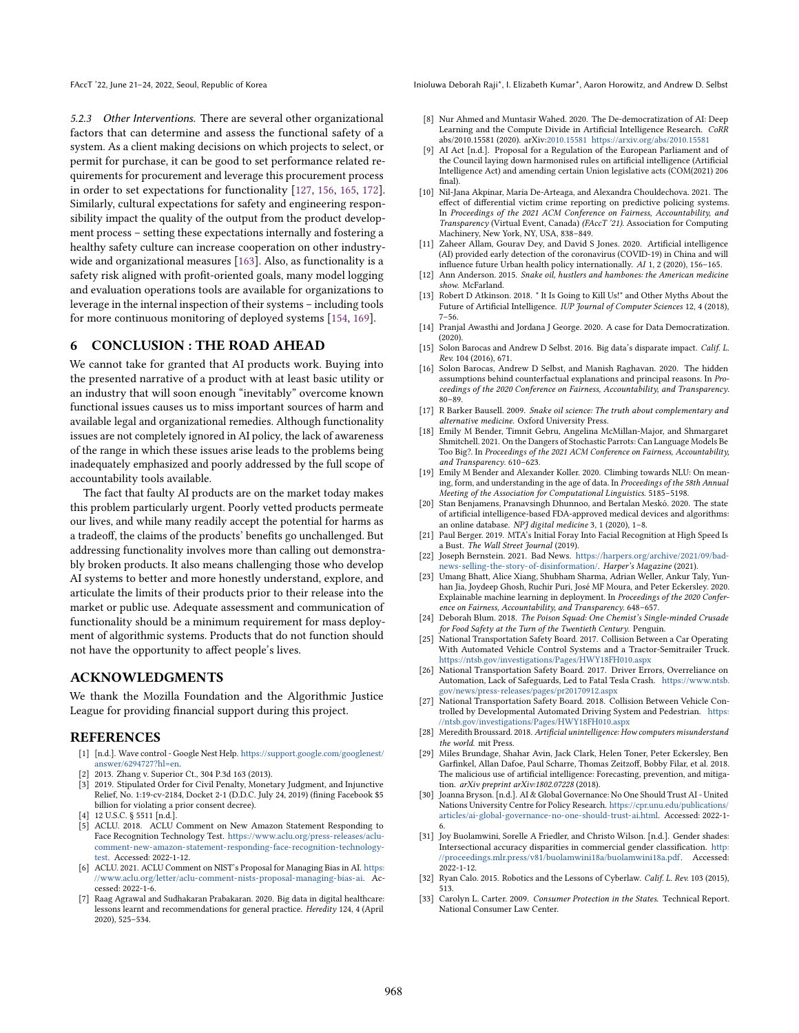5.2.3 Other Interventions. There are several other organizational factors that can determine and assess the functional safety of a system. As a client making decisions on which projects to select, or permit for purchase, it can be good to set performance related requirements for procurement and leverage this procurement process in order to set expectations for functionality [\[127,](#page-11-54) [156,](#page-12-45) [165,](#page-12-46) [172\]](#page-12-47). Similarly, cultural expectations for safety and engineering responsibility impact the quality of the output from the product development process – setting these expectations internally and fostering a healthy safety culture can increase cooperation on other industrywide and organizational measures [\[163\]](#page-12-37). Also, as functionality is a safety risk aligned with profit-oriented goals, many model logging and evaluation operations tools are available for organizations to leverage in the internal inspection of their systems – including tools for more continuous monitoring of deployed systems [\[154,](#page-12-48) [169\]](#page-12-49).

# 6 CONCLUSION : THE ROAD AHEAD

We cannot take for granted that AI products work. Buying into the presented narrative of a product with at least basic utility or an industry that will soon enough "inevitably" overcome known functional issues causes us to miss important sources of harm and available legal and organizational remedies. Although functionality issues are not completely ignored in AI policy, the lack of awareness of the range in which these issues arise leads to the problems being inadequately emphasized and poorly addressed by the full scope of accountability tools available.

The fact that faulty AI products are on the market today makes this problem particularly urgent. Poorly vetted products permeate our lives, and while many readily accept the potential for harms as a tradeoff, the claims of the products' benefits go unchallenged. But addressing functionality involves more than calling out demonstrably broken products. It also means challenging those who develop AI systems to better and more honestly understand, explore, and articulate the limits of their products prior to their release into the market or public use. Adequate assessment and communication of functionality should be a minimum requirement for mass deployment of algorithmic systems. Products that do not function should not have the opportunity to affect people's lives.

#### ACKNOWLEDGMENTS

We thank the Mozilla Foundation and the Algorithmic Justice League for providing financial support during this project.

#### **REFERENCES**

- <span id="page-9-19"></span>[1] [n.d.]. Wave control - Google Nest Help. [https://support.google.com/googlenest/](https://support.google.com/googlenest/answer/6294727?hl=en) [answer/6294727?hl=en.](https://support.google.com/googlenest/answer/6294727?hl=en)
- <span id="page-9-31"></span>2013. Zhang v. Superior Ct., 304 P.3d 163 (2013).
- <span id="page-9-28"></span>2019. Stipulated Order for Civil Penalty, Monetary Judgment, and Injunctive Relief, No. 1:19-cv-2184, Docket 2-1 (D.D.C. July 24, 2019) (fining Facebook \$5 billion for violating a prior consent decree).
- <span id="page-9-29"></span>[4] 12 U.S.C. § 5511 [n.d.].
- <span id="page-9-23"></span>[5] ACLU. 2018. ACLU Comment on New Amazon Statement Responding to Face Recognition Technology Test. [https://www.aclu.org/press-releases/aclu](https://www.aclu.org/press-releases/aclu-comment-new-amazon-statement-responding-face-recognition-technology-test)[comment-new-amazon-statement-responding-face-recognition-technology](https://www.aclu.org/press-releases/aclu-comment-new-amazon-statement-responding-face-recognition-technology-test)[test.](https://www.aclu.org/press-releases/aclu-comment-new-amazon-statement-responding-face-recognition-technology-test) Accessed: 2022-1-12.
- <span id="page-9-6"></span>[6] ACLU. 2021. ACLU Comment on NIST's Proposal for Managing Bias in AI. [https:](https://www.aclu.org/letter/aclu-comment-nists-proposal-managing-bias-ai) [//www.aclu.org/letter/aclu-comment-nists-proposal-managing-bias-ai.](https://www.aclu.org/letter/aclu-comment-nists-proposal-managing-bias-ai) Accessed: 2022-1-6.
- <span id="page-9-18"></span>[7] Raag Agrawal and Sudhakaran Prabakaran. 2020. Big data in digital healthcare: lessons learnt and recommendations for general practice. Heredity 124, 4 (April 2020), 525–534.

FAccT '22, June 21-24, 2022, Seoul, Republic of Korea Inioluma Deborah Raji\*, I. Elizabeth Kumar\*, Aaron Horowitz, and Andrew D. Selbst

- <span id="page-9-9"></span>[8] Nur Ahmed and Muntasir Wahed. 2020. The De-democratization of AI: Deep Learning and the Compute Divide in Artificial Intelligence Research. CoRR abs/2010.15581 (2020). arXiv[:2010.15581](https://arxiv.org/abs/2010.15581) <https://arxiv.org/abs/2010.15581>
- <span id="page-9-13"></span>AI Act [n.d.]. Proposal for a Regulation of the European Parliament and of the Council laying down harmonised rules on artificial intelligence (Artificial Intelligence Act) and amending certain Union legislative acts (COM(2021) 206 final).
- <span id="page-9-17"></span>[10] Nil-Jana Akpinar, Maria De-Arteaga, and Alexandra Chouldechova. 2021. The effect of differential victim crime reporting on predictive policing systems. In Proceedings of the 2021 ACM Conference on Fairness, Accountability, and Transparency (Virtual Event, Canada) (FAccT '21). Association for Computing Machinery, New York, NY, USA, 838–849.
- <span id="page-9-10"></span>[11] Zaheer Allam, Gourav Dey, and David S Jones. 2020. Artificial intelligence (AI) provided early detection of the coronavirus (COVID-19) in China and will influence future Urban health policy internationally. AI 1, 2 (2020), 156–165.
- <span id="page-9-25"></span>[12] Ann Anderson. 2015. Snake oil, hustlers and hambones: the American medicine show. McFarland.
- <span id="page-9-11"></span>[13] Robert D Atkinson. 2018. " It Is Going to Kill Us!" and Other Myths About the Future of Artificial Intelligence. IUP Journal of Computer Sciences 12, 4 (2018),  $7 - 56.$
- <span id="page-9-8"></span>[14] Pranjal Awasthi and Jordana J George. 2020. A case for Data Democratization. (2020).
- <span id="page-9-14"></span>[15] Solon Barocas and Andrew D Selbst. 2016. Big data's disparate impact. Calif. L. Rev. 104 (2016), 671.
- <span id="page-9-16"></span>[16] Solon Barocas, Andrew D Selbst, and Manish Raghavan. 2020. The hidden assumptions behind counterfactual explanations and principal reasons. In Proceedings of the 2020 Conference on Fairness, Accountability, and Transparency. 80–89.
- <span id="page-9-26"></span>[17] R Barker Bausell. 2009. Snake oil science: The truth about complementary and alternative medicine. Oxford University Press.
- <span id="page-9-3"></span>[18] Emily M Bender, Timnit Gebru, Angelina McMillan-Major, and Shmargaret Shmitchell. 2021. On the Dangers of Stochastic Parrots: Can Language Models Be Too Big?. In Proceedings of the 2021 ACM Conference on Fairness, Accountability, and Transparency. 610–623.
- <span id="page-9-4"></span>[19] Emily M Bender and Alexander Koller. 2020. Climbing towards NLU: On meaning, form, and understanding in the age of data. In Proceedings of the 58th Annual Meeting of the Association for Computational Linguistics. 5185–5198.
- <span id="page-9-27"></span>[20] Stan Benjamens, Pranavsingh Dhunnoo, and Bertalan Meskó. 2020. The state of artificial intelligence-based FDA-approved medical devices and algorithms: an online database. NPJ digital medicine 3, 1 (2020), 1–8.
- <span id="page-9-0"></span>[21] Paul Berger. 2019. MTA's Initial Foray Into Facial Recognition at High Speed Is a Bust. The Wall Street Journal (2019).
- <span id="page-9-5"></span>[22] Joseph Bernstein. 2021. Bad News. [https://harpers.org/archive/2021/09/bad](https://harpers.org/archive/2021/09/bad-news-selling-the-story-of-disinformation/)[news-selling-the-story-of-disinformation/.](https://harpers.org/archive/2021/09/bad-news-selling-the-story-of-disinformation/) Harper's Magazine (2021).
- <span id="page-9-15"></span>[23] Umang Bhatt, Alice Xiang, Shubham Sharma, Adrian Weller, Ankur Taly, Yunhan Jia, Joydeep Ghosh, Ruchir Puri, José MF Moura, and Peter Eckersley. 2020. Explainable machine learning in deployment. In Proceedings of the 2020 Conference on Fairness, Accountability, and Transparency. 648–657.
- <span id="page-9-24"></span>[24] Deborah Blum. 2018. The Poison Squad: One Chemist's Single-minded Crusade for Food Safety at the Turn of the Twentieth Century. Penguin.
- <span id="page-9-21"></span>[25] National Transportation Safety Board. 2017. Collision Between a Car Operating With Automated Vehicle Control Systems and a Tractor-Semitrailer Truck. <https://ntsb.gov/investigations/Pages/HWY18FH010.aspx>
- <span id="page-9-22"></span>[26] National Transportation Safety Board. 2017. Driver Errors, Overreliance on Automation, Lack of Safeguards, Led to Fatal Tesla Crash. [https://www.ntsb.](https://www.ntsb.gov/news/press-releases/pages/pr20170912.aspx) [gov/news/press-releases/pages/pr20170912.aspx](https://www.ntsb.gov/news/press-releases/pages/pr20170912.aspx)
- <span id="page-9-20"></span>[27] National Transportation Safety Board. 2018. Collision Between Vehicle Controlled by Developmental Automated Driving System and Pedestrian. [https:](https://ntsb.gov/investigations/Pages/HWY18FH010.aspx) [//ntsb.gov/investigations/Pages/HWY18FH010.aspx](https://ntsb.gov/investigations/Pages/HWY18FH010.aspx)
- <span id="page-9-2"></span>[28] Meredith Broussard. 2018. Artificial unintelligence: How computers misunderstand the world. mit Press.
- <span id="page-9-12"></span>[29] Miles Brundage, Shahar Avin, Jack Clark, Helen Toner, Peter Eckersley, Ben Garfinkel, Allan Dafoe, Paul Scharre, Thomas Zeitzoff, Bobby Filar, et al. 2018. The malicious use of artificial intelligence: Forecasting, prevention, and mitigation. arXiv preprint arXiv:1802.07228 (2018).
- <span id="page-9-7"></span>[30] Joanna Bryson. [n.d.]. AI & Global Governance: No One Should Trust AI - United Nations University Centre for Policy Research. [https://cpr.unu.edu/publications/](https://cpr.unu.edu/publications/articles/ai-global-governance-no-one-should-trust-ai.html) [articles/ai-global-governance-no-one-should-trust-ai.html.](https://cpr.unu.edu/publications/articles/ai-global-governance-no-one-should-trust-ai.html) Accessed: 2022-1-
- <span id="page-9-1"></span>6. [31] Joy Buolamwini, Sorelle A Friedler, and Christo Wilson. [n.d.]. Gender shades: Intersectional accuracy disparities in commercial gender classification. [http:](http://proceedings.mlr.press/v81/buolamwini18a/buolamwini18a.pdf) [//proceedings.mlr.press/v81/buolamwini18a/buolamwini18a.pdf.](http://proceedings.mlr.press/v81/buolamwini18a/buolamwini18a.pdf) Accessed: 2022-1-12.
- <span id="page-9-32"></span>[32] Ryan Calo. 2015. Robotics and the Lessons of Cyberlaw. Calif. L. Rev. 103 (2015), 513.
- <span id="page-9-30"></span>[33] Carolyn L. Carter. 2009. Consumer Protection in the States. Technical Report. National Consumer Law Center.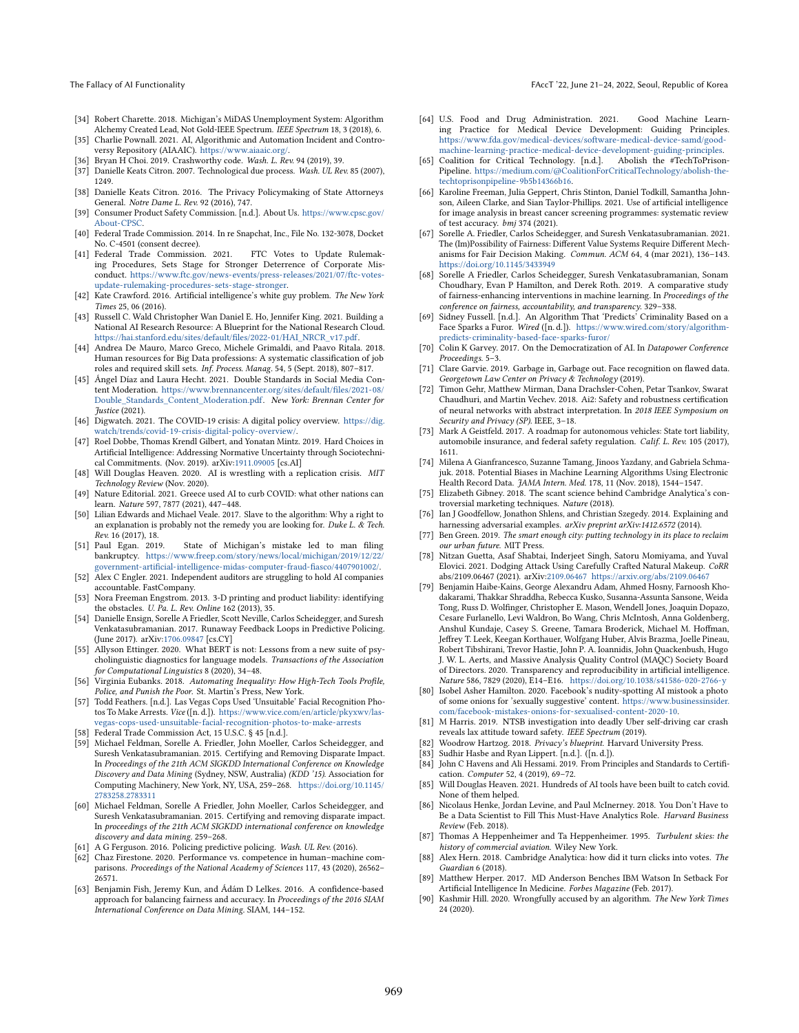- The Fallacy of AI Functionality FAccT '22, June 21–24, 2022, Seoul, Republic of Korea
- <span id="page-10-0"></span>[34] Robert Charette. 2018. Michigan's MiDAS Unemployment System: Algorithm Alchemy Created Lead, Not Gold-IEEE Spectrum. IEEE Spectrum 18, 3 (2018), 6.
- <span id="page-10-27"></span>[35] Charlie Pownall. 2021. AI, Algorithmic and Automation Incident and Controversy Repository (AIAAIC). [https://www.aiaaic.org/.](https://www.aiaaic.org/)
- <span id="page-10-52"></span>[36] Bryan H Choi. 2019. Crashworthy code. Wash. L. Rev. 94 (2019), 39.
- <span id="page-10-54"></span>[37] Danielle Keats Citron. 2007. Technological due process. Wash. UL Rev. 85 (2007), 1249.
- <span id="page-10-50"></span>[38] Danielle Keats Citron. 2016. The Privacy Policymaking of State Attorneys General. Notre Dame L. Rev. 92 (2016), 747.
- <span id="page-10-49"></span>[39] Consumer Product Safety Commission. [n.d.]. About Us. [https://www.cpsc.gov/](https://www.cpsc.gov/About-CPSC) [About-CPSC.](https://www.cpsc.gov/About-CPSC)
- <span id="page-10-47"></span>[40] Federal Trade Commission. 2014. In re Snapchat, Inc., File No. 132-3078, Docket No. C-4501 (consent decree).
- <span id="page-10-48"></span>[41] Federal Trade Commission. 2021. FTC Votes to Update Rulemaking Procedures, Sets Stage for Stronger Deterrence of Corporate Misconduct. [https://www.ftc.gov/news-events/press-releases/2021/07/ftc-votes](https://www.ftc.gov/news-events/press-releases/2021/07/ftc-votes-update-rulemaking-procedures-sets-stage-stronger)[update-rulemaking-procedures-sets-stage-stronger.](https://www.ftc.gov/news-events/press-releases/2021/07/ftc-votes-update-rulemaking-procedures-sets-stage-stronger)
- <span id="page-10-17"></span>[42] Kate Crawford. 2016. Artificial intelligence's white guy problem. The New York Times 25, 06 (2016).
- <span id="page-10-14"></span>[43] Russell C. Wald Christopher Wan Daniel E. Ho, Jennifer King. 2021. Building a National AI Research Resource: A Blueprint for the National Research Cloud. [https://hai.stanford.edu/sites/default/files/2022-01/HAI\\_NRCR\\_v17.pdf.](https://hai.stanford.edu/sites/default/files/2022-01/HAI_NRCR_v17.pdf)
- <span id="page-10-39"></span>[44] Andrea De Mauro, Marco Greco, Michele Grimaldi, and Paavo Ritala. 2018. Human resources for Big Data professions: A systematic classification of job roles and required skill sets. Inf. Process. Manag. 54, 5 (Sept. 2018), 807–817.
- <span id="page-10-5"></span>[45] Ángel Díaz and Laura Hecht. 2021. Double Standards in Social Media Content Moderation. [https://www.brennancenter.org/sites/default/files/2021-08/](https://www. brennancenter. org/sites/default/files/2021-08/Double_Standards_Content_Moderation. pdf) [Double\\_Standards\\_Content\\_Moderation.pdf.](https://www. brennancenter. org/sites/default/files/2021-08/Double_Standards_Content_Moderation. pdf) New York: Brennan Center for Justice (2021).
- <span id="page-10-15"></span>[46] Digwatch. 2021. The COVID-19 crisis: A digital policy overview. [https://dig.](https://dig.watch/trends/covid-19-crisis-digital-policy-overview/) [watch/trends/covid-19-crisis-digital-policy-overview/.](https://dig.watch/trends/covid-19-crisis-digital-policy-overview/)
- <span id="page-10-33"></span>[47] Roel Dobbe, Thomas Krendl Gilbert, and Yonatan Mintz. 2019. Hard Choices in Artificial Intelligence: Addressing Normative Uncertainty through Sociotechnical Commitments. (Nov. 2019). arXiv[:1911.09005](https://arxiv.org/abs/1911.09005) [cs.AI]
- <span id="page-10-7"></span>[48] Will Douglas Heaven. 2020. AI is wrestling with a replication crisis. MIT Technology Review (Nov. 2020).
- <span id="page-10-13"></span>[49] Nature Editorial. 2021. Greece used AI to curb COVID: what other nations can learn. Nature 597, 7877 (2021), 447–448.
- <span id="page-10-25"></span>[50] Lilian Edwards and Michael Veale. 2017. Slave to the algorithm: Why a right to an explanation is probably not the remedy you are looking for. Duke L. & Tech. Rev. 16 (2017), 18.
- <span id="page-10-1"></span>[51] Paul Egan. 2019. State of Michigan's mistake led to man filing bankruptcy. [https://www.freep.com/story/news/local/michigan/2019/12/22/](https://www.freep.com/story/news/local/michigan/2019/12/22/government-artificial-intelligence-midas-computer-fraud-fiasco/4407901002/) [government-artificial-intelligence-midas-computer-fraud-fiasco/4407901002/.](https://www.freep.com/story/news/local/michigan/2019/12/22/government-artificial-intelligence-midas-computer-fraud-fiasco/4407901002/)
- <span id="page-10-24"></span>[52] Alex C Engler. 2021. Independent auditors are struggling to hold AI companies accountable. FastCompany.
- <span id="page-10-51"></span>[53] Nora Freeman Engstrom. 2013. 3-D printing and product liability: identifying the obstacles. U. Pa. L. Rev. Online 162 (2013), 35.
- <span id="page-10-31"></span>[54] Danielle Ensign, Sorelle A Friedler, Scott Neville, Carlos Scheidegger, and Suresh Venkatasubramanian. 2017. Runaway Feedback Loops in Predictive Policing. (June 2017). arXiv[:1706.09847](https://arxiv.org/abs/1706.09847) [cs.CY]
- <span id="page-10-18"></span>[55] Allyson Ettinger. 2020. What BERT is not: Lessons from a new suite of psycholinguistic diagnostics for language models. Transactions of the Association for Computational Linguistics 8  $(2020)$ , 34–48.
- <span id="page-10-34"></span>Virginia Eubanks. 2018. Automating Inequality: How High-Tech Tools Profile, Police, and Punish the Poor. St. Martin's Press, New York.
- <span id="page-10-37"></span>[57] Todd Feathers. [n.d.]. Las Vegas Cops Used 'Unsuitable' Facial Recognition Photos To Make Arrests. Vice ([n. d.]). [https://www.vice.com/en/article/pkyxwv/las](https://www.vice.com/en/article/pkyxwv/las-vegas-cops-used-unsuitable-facial-recognition-photos-to-make-arrests)[vegas-cops-used-unsuitable-facial-recognition-photos-to-make-arrests](https://www.vice.com/en/article/pkyxwv/las-vegas-cops-used-unsuitable-facial-recognition-photos-to-make-arrests)
- <span id="page-10-45"></span>[58] Federal Trade Commission Act, 15 U.S.C. § 45 [n.d.].
- <span id="page-10-19"></span>[59] Michael Feldman, Sorelle A. Friedler, John Moeller, Carlos Scheidegger, and Suresh Venkatasubramanian. 2015. Certifying and Removing Disparate Impact. In Proceedings of the 21th ACM SIGKDD International Conference on Knowledge Discovery and Data Mining (Sydney, NSW, Australia) (KDD '15). Association for Computing Machinery, New York, NY, USA, 259–268. [https://doi.org/10.1145/](https://doi.org/10.1145/2783258.2783311) [2783258.2783311](https://doi.org/10.1145/2783258.2783311)
- <span id="page-10-23"></span>[60] Michael Feldman, Sorelle A Friedler, John Moeller, Carlos Scheidegger, and Suresh Venkatasubramanian. 2015. Certifying and removing disparate impact. In proceedings of the 21th ACM SIGKDD international conference on knowledge discovery and data mining. 259–268.
- <span id="page-10-30"></span>[61] A G Ferguson. 2016. Policing predictive policing. Wash. UL Rev. (2016).
- <span id="page-10-6"></span>[62] Chaz Firestone. 2020. Performance vs. competence in human–machine comparisons. Proceedings of the National Academy of Sciences 117, 43 (2020), 26562-26571.
- <span id="page-10-20"></span>[63] Benjamin Fish, Jeremy Kun, and Ádám D Lelkes. 2016. A confidence-based approach for balancing fairness and accuracy. In Proceedings of the 2016 SIAM International Conference on Data Mining. SIAM, 144–152.
- <span id="page-10-26"></span>[64] U.S. Food and Drug Administration. 2021. Good Machine Learning Practice for Medical Device Development: Guiding Principles. [https://www.fda.gov/medical-devices/software-medical-device-samd/good-](https://www.fda.gov/medical-devices/software-medical-device-samd/good-machine-learning-practice-medical-device-development-guiding-principles)
- <span id="page-10-29"></span>[machine-learning-practice-medical-device-development-guiding-principles.](https://www.fda.gov/medical-devices/software-medical-device-samd/good-machine-learning-practice-medical-device-development-guiding-principles) [65] Coalition for Critical Technology. [n.d.]. Pipeline. [https://medium.com/@CoalitionForCriticalTechnology/abolish-the](https://medium.com/@CoalitionForCriticalTechnology/abolish-the-techtoprisonpipeline-9b5b14366b16)[techtoprisonpipeline-9b5b14366b16.](https://medium.com/@CoalitionForCriticalTechnology/abolish-the-techtoprisonpipeline-9b5b14366b16)
- <span id="page-10-4"></span>[66] Karoline Freeman, Julia Geppert, Chris Stinton, Daniel Todkill, Samantha Johnson, Aileen Clarke, and Sian Taylor-Phillips. 2021. Use of artificial intelligence for image analysis in breast cancer screening programmes: systematic review of test accuracy. bmj 374 (2021).
- <span id="page-10-22"></span>[67] Sorelle A. Friedler, Carlos Scheidegger, and Suresh Venkatasubramanian. 2021. The (Im)Possibility of Fairness: Different Value Systems Require Different Mechanisms for Fair Decision Making. Commun. ACM 64, 4 (mar 2021), 136–143. <https://doi.org/10.1145/3433949>
- <span id="page-10-21"></span>[68] Sorelle A Friedler, Carlos Scheidegger, Suresh Venkatasubramanian, Sonam Choudhary, Evan P Hamilton, and Derek Roth. 2019. A comparative study of fairness-enhancing interventions in machine learning. In Proceedings of the conference on fairness, accountability, and transparency. 329–338.
- <span id="page-10-28"></span>[69] Sidney Fussell. [n.d.]. An Algorithm That 'Predicts' Criminality Based on a Face Sparks a Furor. Wired ([n. d.]). [https://www.wired.com/story/algorithm](https://www.wired.com/story/algorithm-predicts-criminality-based-face-sparks-furor/)[predicts-criminality-based-face-sparks-furor/](https://www.wired.com/story/algorithm-predicts-criminality-based-face-sparks-furor/)
- <span id="page-10-11"></span>[70] Colin K Garvey. 2017. On the Democratization of AI. In Datapower Conference Proceedings. 5–3.
- <span id="page-10-38"></span>[71] Clare Garvie. 2019. Garbage in, Garbage out. Face recognition on flawed data. Georgetown Law Center on Privacy & Technology (2019).
- <span id="page-10-55"></span>[72] Timon Gehr, Matthew Mirman, Dana Drachsler-Cohen, Petar Tsankov, Swarat Chaudhuri, and Martin Vechev. 2018. Ai2: Safety and robustness certification of neural networks with abstract interpretation. In 2018 IEEE Symposium on Security and Privacy (SP). IEEE, 3–18.
- <span id="page-10-53"></span>[73] Mark A Geistfeld. 2017. A roadmap for autonomous vehicles: State tort liability, automobile insurance, and federal safety regulation. Calif. L. Rev. 105 (2017), 1611.
- <span id="page-10-32"></span>[74] Milena A Gianfrancesco, Suzanne Tamang, Jinoos Yazdany, and Gabriela Schmajuk. 2018. Potential Biases in Machine Learning Algorithms Using Electronic Health Record Data. *JAMA Intern. Med.* 178, 11 (Nov. 2018), 1544-1547.
- <span id="page-10-9"></span>[75] Elizabeth Gibney. 2018. The scant science behind Cambridge Analytica's controversial marketing techniques. Nature (2018).
- <span id="page-10-36"></span>[76] Ian J Goodfellow, Jonathon Shlens, and Christian Szegedy. 2014. Explaining and harnessing adversarial examples. arXiv preprint arXiv:1412.6572 (2014).
- <span id="page-10-42"></span>[77] Ben Green. 2019. The smart enough city: putting technology in its place to reclaim our urban future. MIT Press.
- <span id="page-10-35"></span>[78] Nitzan Guetta, Asaf Shabtai, Inderjeet Singh, Satoru Momiyama, and Yuval Elovici. 2021. Dodging Attack Using Carefully Crafted Natural Makeup. CoRR abs/2109.06467 (2021). arXiv[:2109.06467](https://arxiv.org/abs/2109.06467) <https://arxiv.org/abs/2109.06467>
- <span id="page-10-8"></span>[79] Benjamin Haibe-Kains, George Alexandru Adam, Ahmed Hosny, Farnoosh Khodakarami, Thakkar Shraddha, Rebecca Kusko, Susanna-Assunta Sansone, Weida Tong, Russ D. Wolfinger, Christopher E. Mason, Wendell Jones, Joaquin Dopazo, Cesare Furlanello, Levi Waldron, Bo Wang, Chris McIntosh, Anna Goldenberg, Anshul Kundaje, Casey S. Greene, Tamara Broderick, Michael M. Hoffman, Jeffrey T. Leek, Keegan Korthauer, Wolfgang Huber, Alvis Brazma, Joelle Pineau, Robert Tibshirani, Trevor Hastie, John P. A. Ioannidis, John Quackenbush, Hugo J. W. L. Aerts, and Massive Analysis Quality Control (MAQC) Society Board of Directors. 2020. Transparency and reproducibility in artificial intelligence. Nature 586, 7829 (2020), E14–E16. <https://doi.org/10.1038/s41586-020-2766-y>
- <span id="page-10-3"></span>[80] Isobel Asher Hamilton. 2020. Facebook's nudity-spotting AI mistook a photo of some onions for 'sexually suggestive' content. [https://www.businessinsider.](https://www.businessinsider.com/facebook-mistakes-onions-for-sexualised-content-2020-10) [com/facebook-mistakes-onions-for-sexualised-content-2020-10.](https://www.businessinsider.com/facebook-mistakes-onions-for-sexualised-content-2020-10)
- <span id="page-10-44"></span>[81] M Harris. 2019. NTSB investigation into deadly Uber self-driving car crash reveals lax attitude toward safety. IEEE Spectrum (2019).
- <span id="page-10-46"></span>[82] Woodrow Hartzog. 2018. Privacy's blueprint. Harvard University Press.
- <span id="page-10-12"></span>[83] Sudhir Hasbe and Ryan Lippert. [n.d.]. ([n. d.]).
- <span id="page-10-56"></span>[84] John C Havens and Ali Hessami. 2019. From Principles and Standards to Certification. Computer 52, 4 (2019), 69–72.
- <span id="page-10-16"></span>[85] Will Douglas Heaven. 2021. Hundreds of AI tools have been built to catch covid. None of them helped.
- <span id="page-10-40"></span>[86] Nicolaus Henke, Jordan Levine, and Paul McInerney. 2018. You Don't Have to Be a Data Scientist to Fill This Must-Have Analytics Role. Harvard Business Review (Feb. 2018).
- <span id="page-10-43"></span>[87] Thomas A Heppenheimer and Ta Heppenheimer. 1995. Turbulent skies: the history of commercial aviation. Wiley New York.
- <span id="page-10-10"></span>[88] Alex Hern. 2018. Cambridge Analytica: how did it turn clicks into votes. The Guardian 6 (2018).
- <span id="page-10-41"></span>[89] Matthew Herper. 2017. MD Anderson Benches IBM Watson In Setback For Artificial Intelligence In Medicine. Forbes Magazine (Feb. 2017).
- <span id="page-10-2"></span>[90] Kashmir Hill. 2020. Wrongfully accused by an algorithm. The New York Times 24 (2020).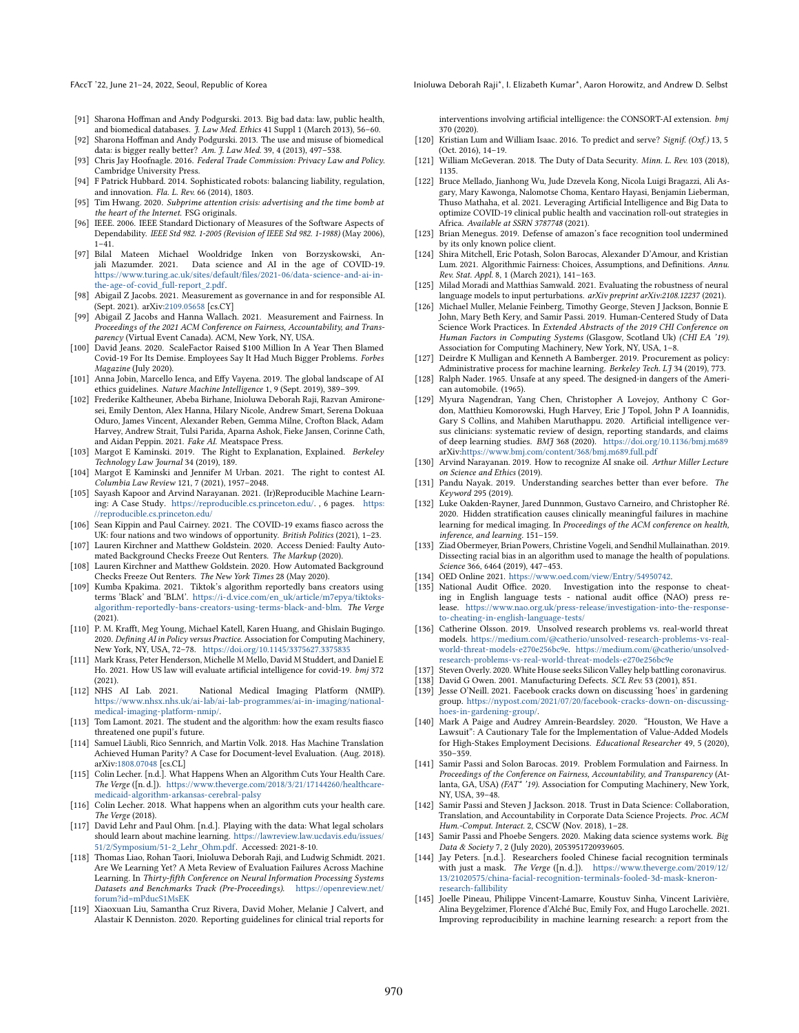- <span id="page-11-31"></span>[91] Sharona Hoffman and Andy Podgurski. 2013. Big bad data: law, public health, and biomedical databases. J. Law Med. Ethics 41 Suppl 1 (March 2013), 56-60.
- <span id="page-11-32"></span>[92] Sharona Hoffman and Andy Podgurski. 2013. The use and misuse of biomedical data: is bigger really better? Am. J. Law Med. 39, 4 (2013), 497–538.
- <span id="page-11-50"></span>[93] Chris Jay Hoofnagle. 2016. Federal Trade Commission: Privacy Law and Policy. Cambridge University Press.
- <span id="page-11-52"></span>[94] F Patrick Hubbard. 2014. Sophisticated robots: balancing liability, regulation, and innovation. Fla. L. Rev. 66 (2014), 1803.
- <span id="page-11-16"></span>[95] Tim Hwang. 2020. Subprime attention crisis: advertising and the time bomb at the heart of the Internet. FSG originals.
- <span id="page-11-18"></span>[96] IEEE. 2006. IEEE Standard Dictionary of Measures of the Software Aspects of Dependability. IEEE Std 982. 1-2005 (Revision of IEEE Std 982. 1-1988) (May 2006),  $1-\overline{41}$ .
- <span id="page-11-23"></span>[97] Bilal Mateen Michael Wooldridge Inken von Borzyskowski, Anjali Mazumder. 2021. Data science and AI in the age of COVID-19. [https://www.turing.ac.uk/sites/default/files/2021-06/data-science-and-ai-in](https://www.turing.ac.uk/sites/default/files/2021-06/data-science-and-ai-in-the-age-of-covid_full-report_2.pdf)[the-age-of-covid\\_full-report\\_2.pdf.](https://www.turing.ac.uk/sites/default/files/2021-06/data-science-and-ai-in-the-age-of-covid_full-report_2.pdf)
- <span id="page-11-28"></span>[98] Abigail Z Jacobs. 2021. Measurement as governance in and for responsible AI. (Sept. 2021). arXiv[:2109.05658](https://arxiv.org/abs/2109.05658) [cs.CY]
- <span id="page-11-29"></span>[99] Abigail Z Jacobs and Hanna Wallach. 2021. Measurement and Fairness. In Proceedings of the 2021 ACM Conference on Fairness, Accountability, and Transparency (Virtual Event Canada). ACM, New York, NY, USA.
- <span id="page-11-45"></span>[100] David Jeans. 2020. ScaleFactor Raised \$100 Million In A Year Then Blamed Covid-19 For Its Demise. Employees Say It Had Much Bigger Problems. Forbes Magazine (July 2020).
- <span id="page-11-17"></span>[101] Anna Jobin, Marcello Ienca, and Effy Vayena. 2019. The global landscape of AI ethics guidelines. Nature Machine Intelligence 1, 9 (Sept. 2019), 389–399.
- <span id="page-11-13"></span>[102] Frederike Kaltheuner, Abeba Birhane, Inioluwa Deborah Raji, Razvan Amironesei, Emily Denton, Alex Hanna, Hilary Nicole, Andrew Smart, Serena Dokuaa Oduro, James Vincent, Alexander Reben, Gemma Milne, Crofton Black, Adam Harvey, Andrew Strait, Tulsi Parida, Aparna Ashok, Fieke Jansen, Corinne Cath, and Aidan Peppin. 2021. Fake AI. Meatspace Press.
- <span id="page-11-25"></span>[103] Margot E Kaminski. 2019. The Right to Explanation, Explained. Berkeley Technology Law Journal 34 (2019), 189.
- <span id="page-11-26"></span>[104] Margot E Kaminski and Jennifer M Urban. 2021. The right to contest AI. Columbia Law Review 121, 7 (2021), 1957–2048.
- <span id="page-11-11"></span>[105] Sayash Kapoor and Arvind Narayanan. 2021. (Ir)Reproducible Machine Learning: A Case Study. [https://reproducible.cs.princeton.edu/.](https://reproducible.cs.princeton.edu/) , 6 pages. [https:](https://reproducible.cs.princeton.edu/) [//reproducible.cs.princeton.edu/](https://reproducible.cs.princeton.edu/)
- <span id="page-11-2"></span>[106] Sean Kippin and Paul Cairney. 2021. The COVID-19 exams fiasco across the UK: four nations and two windows of opportunity. British Politics (2021), 1–23.
- <span id="page-11-0"></span>[107] Lauren Kirchner and Matthew Goldstein. 2020. Access Denied: Faulty Automated Background Checks Freeze Out Renters. The Markup (2020).
- <span id="page-11-1"></span>[108] Lauren Kirchner and Matthew Goldstein. 2020. How Automated Background Checks Freeze Out Renters. The New York Times 28 (May 2020).
- <span id="page-11-5"></span>[109] Kumba Kpakima. 2021. Tiktok's algorithm reportedly bans creators using terms 'Black' and 'BLM'. [https://i-d.vice.com/en\\_uk/article/m7epya/tiktoks](https://i-d.vice.com/en_uk/article/m7epya/tiktoks-algorithm-reportedly-bans-creators-using-terms-black-and-blm)[algorithm-reportedly-bans-creators-using-terms-black-and-blm.](https://i-d.vice.com/en_uk/article/m7epya/tiktoks-algorithm-reportedly-bans-creators-using-terms-black-and-blm) The Verge (2021).
- <span id="page-11-15"></span>[110] P. M. Krafft, Meg Young, Michael Katell, Karen Huang, and Ghislain Bugingo. 2020. Defining AI in Policy versus Practice. Association for Computing Machinery, New York, NY, USA, 72–78. <https://doi.org/10.1145/3375627.3375835>
- <span id="page-11-22"></span>[111] Mark Krass, Peter Henderson, Michelle M Mello, David M Studdert, and Daniel E Ho. 2021. How US law will evaluate artificial intelligence for covid-19. bmj 372  $(2021)$ .<br>[112] NHS AI Lab. 2021.
- <span id="page-11-21"></span>National Medical Imaging Platform (NMIP). [https://www.nhsx.nhs.uk/ai-lab/ai-lab-programmes/ai-in-imaging/national](https://www.nhsx.nhs.uk/ai-lab/ai-lab-programmes/ai-in-imaging/national-medical-imaging-platform-nmip/)[medical-imaging-platform-nmip/.](https://www.nhsx.nhs.uk/ai-lab/ai-lab-programmes/ai-in-imaging/national-medical-imaging-platform-nmip/)
- <span id="page-11-3"></span>[113] Tom Lamont. 2021. The student and the algorithm: how the exam results fiasco threatened one pupil's future.
- <span id="page-11-46"></span>[114] Samuel Läubli, Rico Sennrich, and Martin Volk. 2018. Has Machine Translation Achieved Human Parity? A Case for Document-level Evaluation. (Aug. 2018). arXiv[:1808.07048](https://arxiv.org/abs/1808.07048) [cs.CL]
- <span id="page-11-40"></span>[115] Colin Lecher. [n.d.]. What Happens When an Algorithm Cuts Your Health Care. The Verge ([n. d.]). [https://www.theverge.com/2018/3/21/17144260/healthcare](https://www.theverge.com/2018/3/21/17144260/healthcare-medicaid-algorithm-arkansas-cerebral-palsy)[medicaid-algorithm-arkansas-cerebral-palsy](https://www.theverge.com/2018/3/21/17144260/healthcare-medicaid-algorithm-arkansas-cerebral-palsy)
- <span id="page-11-4"></span>[116] Colin Lecher. 2018. What happens when an algorithm cuts your health care. The Verge (2018).
- <span id="page-11-37"></span>[117] David Lehr and Paul Ohm. [n.d.]. Playing with the data: What legal scholars should learn about machine learning. [https://lawreview.law.ucdavis.edu/issues/](https://lawreview.law.ucdavis.edu/issues/51/2/Symposium/51-2_Lehr_Ohm.pdf) [51/2/Symposium/51-2\\_Lehr\\_Ohm.pdf.](https://lawreview.law.ucdavis.edu/issues/51/2/Symposium/51-2_Lehr_Ohm.pdf) Accessed: 2021-8-10.
- <span id="page-11-12"></span>[118] Thomas Liao, Rohan Taori, Inioluwa Deborah Raji, and Ludwig Schmidt. 2021. Are We Learning Yet? A Meta Review of Evaluation Failures Across Machine Learning. In Thirty-fifth Conference on Neural Information Processing Systems Datasets and Benchmarks Track (Pre-Proceedings). [https://openreview.net/](https://openreview.net/forum?id=mPducS1MsEK) [forum?id=mPducS1MsEK](https://openreview.net/forum?id=mPducS1MsEK)
- <span id="page-11-49"></span>[119] Xiaoxuan Liu, Samantha Cruz Rivera, David Moher, Melanie J Calvert, and Alastair K Denniston. 2020. Reporting guidelines for clinical trial reports for

FAccT '22, June 21-24, 2022, Seoul, Republic of Korea Inioluma Deborah Raji\*, I. Elizabeth Kumar\*, Aaron Horowitz, and Andrew D. Selbst

interventions involving artificial intelligence: the CONSORT-AI extension. bmj 370 (2020).

- <span id="page-11-30"></span>[120] Kristian Lum and William Isaac. 2016. To predict and serve? Signif. (Oxf.) 13, 5 (Oct. 2016), 14–19.
- <span id="page-11-51"></span>[121] William McGeveran. 2018. The Duty of Data Security. Minn. L. Rev. 103 (2018), 1135.
- <span id="page-11-19"></span>[122] Bruce Mellado, Jianhong Wu, Jude Dzevela Kong, Nicola Luigi Bragazzi, Ali Asgary, Mary Kawonga, Nalomotse Choma, Kentaro Hayasi, Benjamin Lieberman, Thuso Mathaha, et al. 2021. Leveraging Artificial Intelligence and Big Data to optimize COVID-19 clinical public health and vaccination roll-out strategies in Africa. Available at SSRN 3787748 (2021).
- <span id="page-11-47"></span>[123] Brian Menegus. 2019. Defense of amazon's face recognition tool undermined by its only known police client.
- <span id="page-11-24"></span>[124] Shira Mitchell, Eric Potash, Solon Barocas, Alexander D'Amour, and Kristian Lum. 2021. Algorithmic Fairness: Choices, Assumptions, and Definitions. Annu. Rev. Stat. Appl. 8, 1 (March 2021), 141–163.
- <span id="page-11-42"></span>[125] Milad Moradi and Matthias Samwald. 2021. Evaluating the robustness of neural language models to input perturbations. arXiv preprint arXiv:2108.12237 (2021).
- <span id="page-11-35"></span>[126] Michael Muller, Melanie Feinberg, Timothy George, Steven J Jackson, Bonnie E John, Mary Beth Kery, and Samir Passi. 2019. Human-Centered Study of Data Science Work Practices. In Extended Abstracts of the 2019 CHI Conference on Human Factors in Computing Systems (Glasgow, Scotland Uk) (CHI EA '19). Association for Computing Machinery, New York, NY, USA, 1–8.
- <span id="page-11-54"></span>[127] Deirdre K Mulligan and Kenneth A Bamberger. 2019. Procurement as policy: Administrative process for machine learning. Berkeley Tech. LJ 34 (2019), 773.
- <span id="page-11-48"></span>[128] Ralph Nader. 1965. Unsafe at any speed. The designed-in dangers of the American automobile. (1965).
- <span id="page-11-39"></span>[129] Myura Nagendran, Yang Chen, Christopher A Lovejoy, Anthony C Gordon, Matthieu Komorowski, Hugh Harvey, Eric J Topol, John P A Ioannidis, Gary S Collins, and Mahiben Maruthappu. 2020. Artificial intelligence versus clinicians: systematic review of design, reporting standards, and claims of deep learning studies. BMJ 368 (2020). <https://doi.org/10.1136/bmj.m689> arXiv[:https://www.bmj.com/content/368/bmj.m689.full.pdf](https://arxiv.org/abs/https://www.bmj.com/content/368/bmj.m689.full.pdf)
- <span id="page-11-14"></span>[130] Arvind Narayanan. 2019. How to recognize AI snake oil. Arthur Miller Lecture on Science and Ethics (2019).
- <span id="page-11-41"></span>[131] Pandu Nayak. 2019. Understanding searches better than ever before. The Keyword 295 (2019).
- <span id="page-11-9"></span>[132] Luke Oakden-Rayner, Jared Dunnmon, Gustavo Carneiro, and Christopher Ré. 2020. Hidden stratification causes clinically meaningful failures in machine learning for medical imaging. In Proceedings of the ACM conference on health, inference, and learning. 151–159.
- <span id="page-11-8"></span>[133] Ziad Obermeyer, Brian Powers, Christine Vogeli, and Sendhil Mullainathan. 2019. Dissecting racial bias in an algorithm used to manage the health of populations. Science 366, 6464 (2019), 447–453.
- <span id="page-11-27"></span>[134] OED Online 2021. [https://www.oed.com/view/Entry/54950742.](https://www.oed.com/view/Entry/54950742)
- <span id="page-11-38"></span>[135] National Audit Office. 2020. Investigation into the response to cheating in English language tests - national audit office (NAO) press release. [https://www.nao.org.uk/press-release/investigation-into-the-response](https://www.nao.org.uk/press-release/investigation-into-the-response-to-cheating-in-english-language-tests/)[to-cheating-in-english-language-tests/](https://www.nao.org.uk/press-release/investigation-into-the-response-to-cheating-in-english-language-tests/)
- <span id="page-11-44"></span>[136] Catherine Olsson. 2019. Unsolved research problems vs. real-world threat models. [https://medium.com/@catherio/unsolved-research-problems-vs-real](https://medium.com/@catherio/unsolved-research-problems-vs-real-world-threat-models-e270e256bc9e)[world-threat-models-e270e256bc9e.](https://medium.com/@catherio/unsolved-research-problems-vs-real-world-threat-models-e270e256bc9e) [https://medium.com/@catherio/unsolved](https://medium.com/@catherio/unsolved-research-problems-vs-real-world-threat-models-e270e256bc9e)[research-problems-vs-real-world-threat-models-e270e256bc9e](https://medium.com/@catherio/unsolved-research-problems-vs-real-world-threat-models-e270e256bc9e)
- <span id="page-11-20"></span>[137] Steven Overly. 2020. White House seeks Silicon Valley help battling coronavirus.
- <span id="page-11-53"></span>[138] David G Owen. 2001. Manufacturing Defects. SCL Rev. 53 (2001), 851.
- <span id="page-11-6"></span>[139] Jesse O'Neill. 2021. Facebook cracks down on discussing 'hoes' in gardening group. [https://nypost.com/2021/07/20/facebook-cracks-down-on-discussing](https://nypost.com/2021/07/20/facebook-cracks-down-on-discussing-hoes-in-gardening-group/)[hoes-in-gardening-group/.](https://nypost.com/2021/07/20/facebook-cracks-down-on-discussing-hoes-in-gardening-group/)
- <span id="page-11-7"></span>[140] Mark A Paige and Audrey Amrein-Beardsley. 2020. "Houston, We Have a Lawsuit": A Cautionary Tale for the Implementation of Value-Added Models for High-Stakes Employment Decisions. Educational Researcher 49, 5 (2020), 350–359.
- <span id="page-11-33"></span>[141] Samir Passi and Solon Barocas. 2019. Problem Formulation and Fairness. In Proceedings of the Conference on Fairness, Accountability, and Transparency (Atlanta, GA, USA) (FAT\* '19). Association for Computing Machinery, New York, NY, USA, 39–48.
- <span id="page-11-36"></span>[142] Samir Passi and Steven J Jackson. 2018. Trust in Data Science: Collaboration, Translation, and Accountability in Corporate Data Science Projects. Proc. ACM Hum.-Comput. Interact. 2, CSCW (Nov. 2018), 1–28.
- <span id="page-11-34"></span>[143] Samir Passi and Phoebe Sengers. 2020. Making data science systems work. Big Data & Society 7, 2 (July 2020), 2053951720939605.
- <span id="page-11-43"></span>[144] Jay Peters. [n.d.]. Researchers fooled Chinese facial recognition terminals with just a mask. The Verge ([n. d.]). [https://www.theverge.com/2019/12/](https://www.theverge.com/2019/12/13/21020575/china-facial-recognition-terminals-fooled-3d-mask-kneron-research-fallibility) [13/21020575/china-facial-recognition-terminals-fooled-3d-mask-kneron](https://www.theverge.com/2019/12/13/21020575/china-facial-recognition-terminals-fooled-3d-mask-kneron-research-fallibility)[research-fallibility](https://www.theverge.com/2019/12/13/21020575/china-facial-recognition-terminals-fooled-3d-mask-kneron-research-fallibility)
- <span id="page-11-10"></span>[145] Joelle Pineau, Philippe Vincent-Lamarre, Koustuv Sinha, Vincent Larivière, Alina Beygelzimer, Florence d'Alché Buc, Emily Fox, and Hugo Larochelle. 2021. Improving reproducibility in machine learning research: a report from the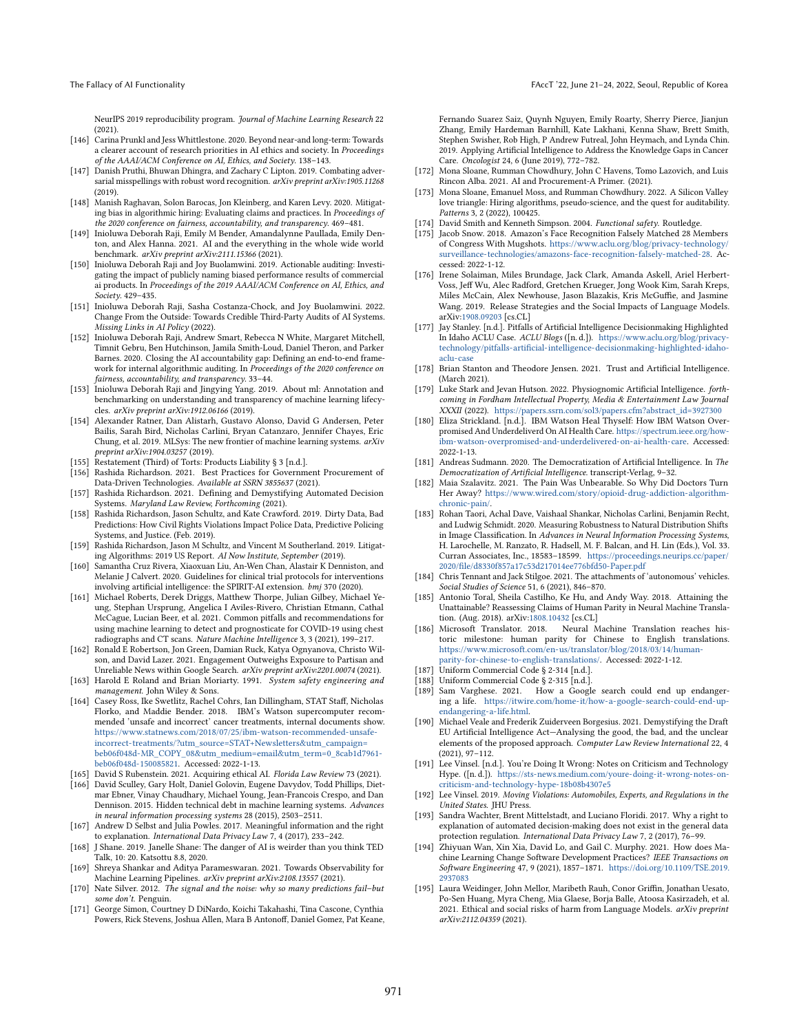NeurIPS 2019 reproducibility program. Journal of Machine Learning Research 22 (2021).

- <span id="page-12-16"></span>[146] Carina Prunkl and Jess Whittlestone. 2020. Beyond near-and long-term: Towards a clearer account of research priorities in AI ethics and society. In Proceedings of the AAAI/ACM Conference on AI, Ethics, and Society. 138–143.
- <span id="page-12-29"></span>[147] Danish Pruthi, Bhuwan Dhingra, and Zachary C Lipton. 2019. Combating adversarial misspellings with robust word recognition. arXiv preprint arXiv:1905.11268 (2019).
- <span id="page-12-6"></span>[148] Manish Raghavan, Solon Barocas, Jon Kleinberg, and Karen Levy. 2020. Mitigating bias in algorithmic hiring: Evaluating claims and practices. In Proceedings of the 2020 conference on fairness, accountability, and transparency. 469–481.
- <span id="page-12-3"></span>[149] Inioluwa Deborah Raji, Emily M Bender, Amandalynne Paullada, Emily Denton, and Alex Hanna. 2021. AI and the everything in the whole wide world benchmark. arXiv preprint arXiv:2111.15366 (2021).
- <span id="page-12-33"></span>[150] Inioluwa Deborah Raji and Joy Buolamwini. 2019. Actionable auditing: Investigating the impact of publicly naming biased performance results of commercial ai products. In Proceedings of the 2019 AAAI/ACM Conference on AI, Ethics, and Society. 429–435.
- <span id="page-12-43"></span>[151] Inioluwa Deborah Raji, Sasha Costanza-Chock, and Joy Buolamwini. 2022. Change From the Outside: Towards Credible Third-Party Audits of AI Systems. Missing Links in AI Policy (2022).
- <span id="page-12-42"></span>[152] Inioluwa Deborah Raji, Andrew Smart, Rebecca N White, Margaret Mitchell, Timnit Gebru, Ben Hutchinson, Jamila Smith-Loud, Daniel Theron, and Parker Barnes. 2020. Closing the AI accountability gap: Defining an end-to-end framework for internal algorithmic auditing. In Proceedings of the 2020 conference on fairness, accountability, and transparency. 33–44.
- <span id="page-12-44"></span>[153] Inioluwa Deborah Raji and Jingying Yang. 2019. About ml: Annotation and benchmarking on understanding and transparency of machine learning lifecycles. arXiv preprint arXiv:1912.06166 (2019).
- <span id="page-12-48"></span>[154] Alexander Ratner, Dan Alistarh, Gustavo Alonso, David G Andersen, Peter Bailis, Sarah Bird, Nicholas Carlini, Bryan Catanzaro, Jennifer Chayes, Eric Chung, et al. 2019. MLSys: The new frontier of machine learning systems. arXiv preprint arXiv:1904.03257 (2019).
- <span id="page-12-39"></span>[155] Restatement (Third) of Torts: Products Liability § 3 [n.d.].
- <span id="page-12-45"></span>[156] Rashida Richardson. 2021. Best Practices for Government Procurement of Data-Driven Technologies. Available at SSRN 3855637 (2021).
- <span id="page-12-10"></span>[157] Rashida Richardson. 2021. Defining and Demystifying Automated Decision Systems. Maryland Law Review, Forthcoming (2021).
- <span id="page-12-24"></span>[158] Rashida Richardson, Jason Schultz, and Kate Crawford. 2019. Dirty Data, Bad Predictions: How Civil Rights Violations Impact Police Data, Predictive Policing Systems, and Justice. (Feb. 2019).
- <span id="page-12-0"></span>[159] Rashida Richardson, Jason M Schultz, and Vincent M Southerland. 2019. Litigating Algorithms: 2019 US Report. AI Now Institute, September (2019).
- <span id="page-12-36"></span>[160] Samantha Cruz Rivera, Xiaoxuan Liu, An-Wen Chan, Alastair K Denniston, and Melanie J Calvert. 2020. Guidelines for clinical trial protocols for interventions involving artificial intelligence: the SPIRIT-AI extension. bmj 370 (2020).
- <span id="page-12-15"></span>[161] Michael Roberts, Derek Driggs, Matthew Thorpe, Julian Gilbey, Michael Yeung, Stephan Ursprung, Angelica I Aviles-Rivero, Christian Etmann, Cathal McCague, Lucian Beer, et al. 2021. Common pitfalls and recommendations for using machine learning to detect and prognosticate for COVID-19 using chest radiographs and CT scans. Nature Machine Intelligence 3, 3 (2021), 199–217.
- <span id="page-12-12"></span>[162] Ronald E Robertson, Jon Green, Damian Ruck, Katya Ognyanova, Christo Wilson, and David Lazer. 2021. Engagement Outweighs Exposure to Partisan and Unreliable News within Google Search. arXiv preprint arXiv:2201.00074 (2021).
- <span id="page-12-37"></span>[163] Harold E Roland and Brian Moriarty. 1991. System safety engineering and management. John Wiley & Sons.
- <span id="page-12-25"></span>[164] Casey Ross, Ike Swetlitz, Rachel Cohrs, Ian Dillingham, STAT Staff, Nicholas Florko, and Maddie Bender. 2018. IBM's Watson supercomputer recommended 'unsafe and incorrect' cancer treatments, internal documents show. [https://www.statnews.com/2018/07/25/ibm-watson-recommended-unsafe](https://www.statnews.com/2018/07/25/ibm-watson-recommended-unsafe-incorrect-treatments/?utm_source=STAT+Newsletters&utm_campaign=beb06f048d-MR_COPY_08&utm_medium=email&utm_term=0_8cab1d7961-beb06f048d-150085821)[incorrect-treatments/?utm\\_source=STAT+Newsletters&utm\\_campaign=](https://www.statnews.com/2018/07/25/ibm-watson-recommended-unsafe-incorrect-treatments/?utm_source=STAT+Newsletters&utm_campaign=beb06f048d-MR_COPY_08&utm_medium=email&utm_term=0_8cab1d7961-beb06f048d-150085821) [beb06f048d-MR\\_COPY\\_08&utm\\_medium=email&utm\\_term=0\\_8cab1d7961](https://www.statnews.com/2018/07/25/ibm-watson-recommended-unsafe-incorrect-treatments/?utm_source=STAT+Newsletters&utm_campaign=beb06f048d-MR_COPY_08&utm_medium=email&utm_term=0_8cab1d7961-beb06f048d-150085821) [beb06f048d-150085821.](https://www.statnews.com/2018/07/25/ibm-watson-recommended-unsafe-incorrect-treatments/?utm_source=STAT+Newsletters&utm_campaign=beb06f048d-MR_COPY_08&utm_medium=email&utm_term=0_8cab1d7961-beb06f048d-150085821) Accessed: 2022-1-13.
- <span id="page-12-46"></span>[165] David S Rubenstein. 2021. Acquiring ethical AI. Florida Law Review 73 (2021).
- <span id="page-12-5"></span>[166] David Sculley, Gary Holt, Daniel Golovin, Eugene Davydov, Todd Phillips, Dietmar Ebner, Vinay Chaudhary, Michael Young, Jean-Francois Crespo, and Dan Dennison. 2015. Hidden technical debt in machine learning systems. Advances in neural information processing systems 28 (2015), 2503–2511.
- <span id="page-12-22"></span>[167] Andrew D Selbst and Julia Powles. 2017. Meaningful information and the right to explanation. International Data Privacy Law 7, 4 (2017), 233–242.
- <span id="page-12-17"></span>[168] J Shane. 2019. Janelle Shane: The danger of AI is weirder than you think TED Talk, 10: 20. Katsottu 8.8, 2020.
- <span id="page-12-49"></span>[169] Shreya Shankar and Aditya Parameswaran. 2021. Towards Observability for Machine Learning Pipelines. arXiv preprint arXiv:2108.13557 (2021).
- <span id="page-12-34"></span>[170] Nate Silver. 2012. The signal and the noise: why so many predictions fail–but some don't. Penguin.
- <span id="page-12-26"></span>[171] George Simon, Courtney D DiNardo, Koichi Takahashi, Tina Cascone, Cynthia Powers, Rick Stevens, Joshua Allen, Mara B Antonoff, Daniel Gomez, Pat Keane,

Fernando Suarez Saiz, Quynh Nguyen, Emily Roarty, Sherry Pierce, Jianjun Zhang, Emily Hardeman Barnhill, Kate Lakhani, Kenna Shaw, Brett Smith, Stephen Swisher, Rob High, P Andrew Futreal, John Heymach, and Lynda Chin. 2019. Applying Artificial Intelligence to Address the Knowledge Gaps in Cancer Care. Oncologist 24, 6 (June 2019), 772–782.

- <span id="page-12-47"></span>[172] Mona Sloane, Rumman Chowdhury, John C Havens, Tomo Lazovich, and Luis Rincon Alba. 2021. AI and Procurement-A Primer. (2021).
- <span id="page-12-7"></span>[173] Mona Sloane, Emanuel Moss, and Rumman Chowdhury. 2022. A Silicon Valley love triangle: Hiring algorithms, pseudo-science, and the quest for auditability. Patterns 3, 2 (2022), 100425.
- <span id="page-12-38"></span>[174] David Smith and Kenneth Simpson. 2004. Functional safety. Routledge.
- <span id="page-12-32"></span>[175] Jacob Snow. 2018. Amazon's Face Recognition Falsely Matched 28 Members of Congress With Mugshots. [https://www.aclu.org/blog/privacy-technology/](https://www.aclu.org/blog/privacy-technology/surveillance-technologies/amazons-face-recognition-falsely-matched-28) [surveillance-technologies/amazons-face-recognition-falsely-matched-28.](https://www.aclu.org/blog/privacy-technology/surveillance-technologies/amazons-face-recognition-falsely-matched-28) Accessed: 2022-1-12.
- <span id="page-12-18"></span>[176] Irene Solaiman, Miles Brundage, Jack Clark, Amanda Askell, Ariel Herbert-Voss, Jeff Wu, Alec Radford, Gretchen Krueger, Jong Wook Kim, Sarah Kreps, Miles McCain, Alex Newhouse, Jason Blazakis, Kris McGuffie, and Jasmine Wang. 2019. Release Strategies and the Social Impacts of Language Models. arXiv[:1908.09203](https://arxiv.org/abs/1908.09203) [cs.CL]
- <span id="page-12-27"></span>[177] Jay Stanley. [n.d.]. Pitfalls of Artificial Intelligence Decisionmaking Highlighted In Idaho ACLU Case. ACLU Blogs ([n. d.]). [https://www.aclu.org/blog/privacy](https://www.aclu.org/blog/privacy-technology/pitfalls-artificial-intelligence-decisionmaking-highlighted-idaho-aclu-case)[technology/pitfalls-artificial-intelligence-decisionmaking-highlighted-idaho](https://www.aclu.org/blog/privacy-technology/pitfalls-artificial-intelligence-decisionmaking-highlighted-idaho-aclu-case)[aclu-case](https://www.aclu.org/blog/privacy-technology/pitfalls-artificial-intelligence-decisionmaking-highlighted-idaho-aclu-case)
- <span id="page-12-13"></span>[178] Brian Stanton and Theodore Jensen. 2021. Trust and Artificial Intelligence. (March 2021).
- <span id="page-12-8"></span>[179] Luke Stark and Jevan Hutson. 2022. Physiognomic Artificial Intelligence. forthcoming in Fordham Intellectual Property, Media & Entertainment Law Journal XXXII (2022). [https://papers.ssrn.com/sol3/papers.cfm?abstract\\_id=3927300](https://papers.ssrn.com/sol3/papers.cfm?abstract_id=3927300)
- <span id="page-12-2"></span>[180] Eliza Strickland. [n.d.]. IBM Watson Heal Thyself: How IBM Watson Overpromised And Underdeliverd On AI Health Care. [https://spectrum.ieee.org/how](https://spectrum.ieee.org/how-ibm-watson-overpromised-and-underdelivered-on-ai-health-care)[ibm-watson-overpromised-and-underdelivered-on-ai-health-care.](https://spectrum.ieee.org/how-ibm-watson-overpromised-and-underdelivered-on-ai-health-care) Accessed: 2022-1-13.
- <span id="page-12-14"></span>[181] Andreas Sudmann. 2020. The Democratization of Artificial Intelligence. In The Democratization of Artificial Intelligence. transcript-Verlag, 9–32.
- <span id="page-12-1"></span>[182] Maia Szalavitz. 2021. The Pain Was Unbearable. So Why Did Doctors Turn Her Away? [https://www.wired.com/story/opioid-drug-addiction-algorithm](https://www.wired.com/story/opioid-drug-addiction-algorithm-chronic-pain/)[chronic-pain/.](https://www.wired.com/story/opioid-drug-addiction-algorithm-chronic-pain/)
- <span id="page-12-28"></span>[183] Rohan Taori, Achal Dave, Vaishaal Shankar, Nicholas Carlini, Benjamin Recht, and Ludwig Schmidt. 2020. Measuring Robustness to Natural Distribution Shifts in Image Classification. In Advances in Neural Information Processing Systems, H. Larochelle, M. Ranzato, R. Hadsell, M. F. Balcan, and H. Lin (Eds.), Vol. 33. Curran Associates, Inc., 18583–18599. [https://proceedings.neurips.cc/paper/](https://proceedings.neurips.cc/paper/2020/file/d8330f857a17c53d217014ee776bfd50-Paper.pdf) [2020/file/d8330f857a17c53d217014ee776bfd50-Paper.pdf](https://proceedings.neurips.cc/paper/2020/file/d8330f857a17c53d217014ee776bfd50-Paper.pdf)
- <span id="page-12-9"></span>[184] Chris Tennant and Jack Stilgoe. 2021. The attachments of 'autonomous' vehicles. Social Studies of Science 51, 6 (2021), 846–870.
- <span id="page-12-31"></span>[185] Antonio Toral, Sheila Castilho, Ke Hu, and Andy Way. 2018. Attaining the Unattainable? Reassessing Claims of Human Parity in Neural Machine Transla-tion. (Aug. 2018). arXiv[:1808.10432](https://arxiv.org/abs/1808.10432) [cs.CL]<br>[186] Microsoft Translator. 2018. Neural M
- <span id="page-12-30"></span>Neural Machine Translation reaches historic milestone: human parity for Chinese to English translations. [https://www.microsoft.com/en-us/translator/blog/2018/03/14/human](https://www.microsoft.com/en-us/translator/blog/2018/03/14/human-parity-for-chinese-to-english-translations/)[parity-for-chinese-to-english-translations/.](https://www.microsoft.com/en-us/translator/blog/2018/03/14/human-parity-for-chinese-to-english-translations/) Accessed: 2022-1-12.
- <span id="page-12-40"></span>[187] Uniform Commercial Code § 2-314 [n.d.].
- <span id="page-12-41"></span>[188] Uniform Commercial Code § 2-315 [n.d.].
- <span id="page-12-20"></span>[189] Sam Varghese. 2021. How a Google search could end up endangering a life. [https://itwire.com/home-it/how-a-google-search-could-end-up](https://itwire.com/home-it/how-a-google-search-could-end-up-endangering-a-life.html)[endangering-a-life.html.](https://itwire.com/home-it/how-a-google-search-could-end-up-endangering-a-life.html)
- <span id="page-12-21"></span>[190] Michael Veale and Frederik Zuiderveen Borgesius. 2021. Demystifying the Draft EU Artificial Intelligence Act—Analysing the good, the bad, and the unclear elements of the proposed approach. Computer Law Review International 22, 4 (2021), 97–112.
- <span id="page-12-11"></span>[191] Lee Vinsel. [n.d.]. You're Doing It Wrong: Notes on Criticism and Technology Hype. ([n. d.]). [https://sts-news.medium.com/youre-doing-it-wrong-notes-on](https://sts-news.medium.com/youre-doing-it-wrong-notes-on-criticism-and-technology-hype-18b08b4307e5)[criticism-and-technology-hype-18b08b4307e5](https://sts-news.medium.com/youre-doing-it-wrong-notes-on-criticism-and-technology-hype-18b08b4307e5)
- <span id="page-12-35"></span>[192] Lee Vinsel. 2019. Moving Violations: Automobiles, Experts, and Regulations in the United States. JHU Press.
- <span id="page-12-23"></span>[193] Sandra Wachter, Brent Mittelstadt, and Luciano Floridi. 2017. Why a right to explanation of automated decision-making does not exist in the general data protection regulation. International Data Privacy Law 7, 2 (2017), 76-99.
- <span id="page-12-4"></span>[194] Zhiyuan Wan, Xin Xia, David Lo, and Gail C. Murphy. 2021. How does Machine Learning Change Software Development Practices? IEEE Transactions on Software Engineering 47, 9 (2021), 1857–1871. [https://doi.org/10.1109/TSE.2019.](https://doi.org/10.1109/TSE.2019.2937083) [2937083](https://doi.org/10.1109/TSE.2019.2937083)
- <span id="page-12-19"></span>[195] Laura Weidinger, John Mellor, Maribeth Rauh, Conor Griffin, Jonathan Uesato, Po-Sen Huang, Myra Cheng, Mia Glaese, Borja Balle, Atoosa Kasirzadeh, et al. 2021. Ethical and social risks of harm from Language Models. arXiv preprint arXiv:2112.04359 (2021).